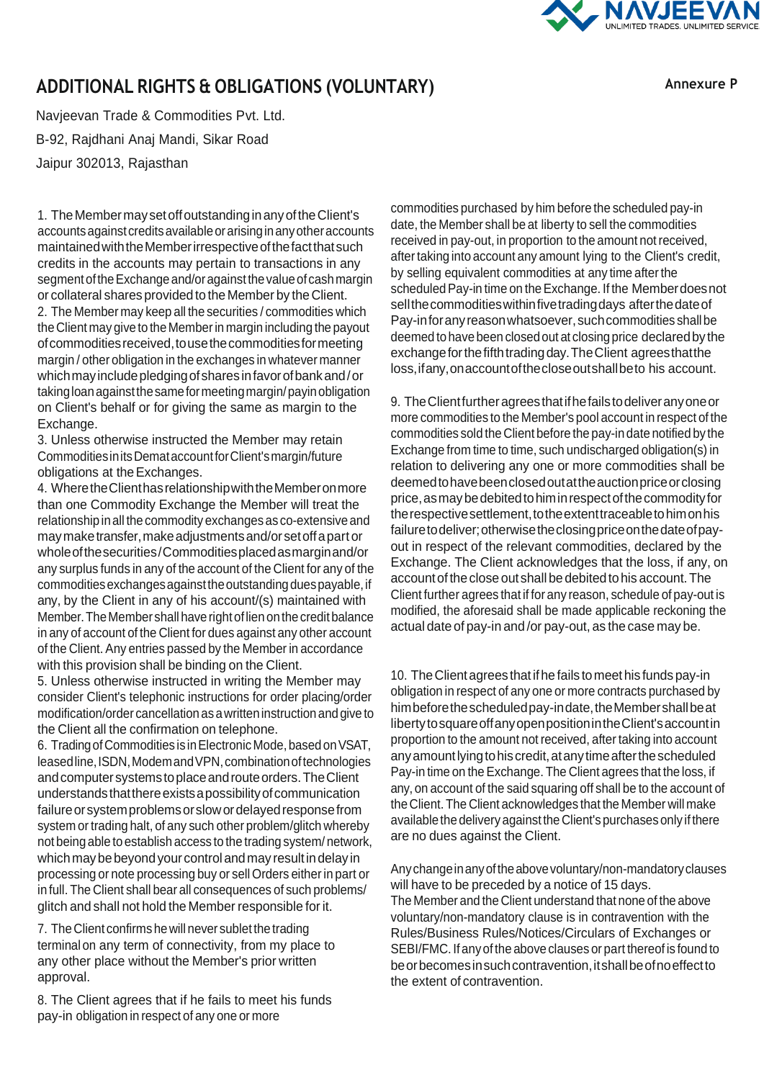

## **ADDITIONAL RIGHTS & OBLIGATIONS (VOLUNTARY)**

**Annexure P**

Navjeevan Trade & Commodities Pvt. Ltd. B-92, Rajdhani Anaj Mandi, Sikar Road Jaipur 302013, Rajasthan

1. TheMembermaysetoffoutstandinginanyoftheClient's accounts against credits available or arising in any other accounts maintainedwiththeMemberirrespectiveofthefactthatsuch credits in the accounts may pertain to transactions in any segment of the Exchange and/or against the value of cash margin or collateral shares provided to the Member by theClient. 2. The Member may keep all the securities / commodities which the Client may give to the Memberin margin including the payout of commodities received, to use the commodities for meeting margin / other obligation in the exchanges in whatever manner

whichmayincludepledgingofsharesinfavorofbankand/or takingloanagainstthesameformeetingmargin/payinobligation on Client's behalf or for giving the same as margin to the Exchange.

3. Unless otherwise instructed the Member may retain CommoditiesinitsDemataccountforClient'smargin/future obligations at theExchanges.

4. WheretheClienthasrelationshipwiththeMemberonmore than one Commodity Exchange the Member will treat the relationship inall the commodity exchanges as co-extensive and maymaketransfer,makeadjustmentsand/orsetoffapart or wholeofthesecurities/Commoditiesplacedasmarginand/or any surplus funds in any of the account of the Client for any of the commodities exchanges against the outstanding dues payable, if any, by the Client in any of his account/(s) maintained with Member. The Member shall have right of lien on the credit balance in any of account of the Client for dues against any other account of the Client. Any entries passed by the Member in accordance with this provision shall be binding on the Client.

5. Unless otherwise instructed in writing the Member may consider Client's telephonic instructions for order placing/order modification/order cancellation as a written instruction and give to the Client all the confirmation on telephone.

6. TradingofCommodities is inElectronicMode, based onVSAT, leased line, ISDN, Modem and VPN, combination of technologies andcomputer systems toplaceandrouteorders.TheClient understands that there exists a possibility of communication failure or system problems or slow or delayed response from system or trading halt, of any such other problem/glitch whereby not being able to establish access to the trading system/ network, which may be beyond your control and may result in delay in processing or note processing buy or sell Orders eitherin part or in full. The Client shall bear all consequences of such problems/ glitch and shall not hold the Member responsible for it.

7. TheClient confirmshewill never sublet the trading terminal on any term of connectivity, from my place to any other place without the Member's prior written approval.

8. The Client agrees that if he fails to meet his funds pay-in obligation in respect of any one or more

commodities purchased by him before the scheduled pay-in date, the Member shall be at liberty to sell the commodities received in pay-out, in proportion to the amount not received, after taking into account any amount lying to the Client's credit, by selling equivalent commodities at any time afterthe scheduled Pay-in time on the Exchange. If the Member does not sell the commodities within five trading days after the date of Pay-infor any reason whatsoever, such commodities shall be deemed to have been closedout at closing price declaredbythe exchange for the fifth trading day. The Client agrees that the loss,ifany,onaccountofthecloseoutshallbeto his account.

9. TheClientfurtheragreesthatifhefailstodeliveranyoneor more commodities to the Member's pool account in respect of the commodities sold the Client before the pay-in date notified by the Exchange from time to time, such undischarged obligation(s) in relation to delivering any one or more commodities shall be deemedtohavebeenclosedoutattheauctionpriceorclosing price, as may be debited to him in respect of the commodity for the respective settlement, to the extent traceable to him on his failuretodeliver;otherwisetheclosingpriceonthedateofpayout in respect of the relevant commodities, declared by the Exchange. The Client acknowledges that the loss, if any, on account of the close out shall be debited to his account. The Client further agrees that if for any reason, schedule of pay-out is modified, the aforesaid shall be made applicable reckoning the actual date of pay-in and /or pay-out, as the case may be.

10. The Client agrees that if he fails to meet his funds pay-in obligation in respect of any one or more contracts purchased by himbefore the scheduled pay-indate, the Member shall be at libertytosquareoffanyopenpositionintheClient'saccountin proportion to the amount not received, after taking into account anyamountlyingtohis credit,atanytimeafterthescheduled Pay-in time on the Exchange. The Client agrees that the loss, if any, on account of the said squaring off shall be to the account of the Client. The Client acknowledges that the Member will make available the delivery against the Client's purchases only if there are no dues against the Client.

Anychangeinanyoftheabovevoluntary/non-mandatoryclauses will have to be preceded by a notice of 15 days. The Member and the Client understand that none of the above voluntary/non-mandatory clause is in contravention with the Rules/Business Rules/Notices/Circulars of Exchanges or SEBI/FMC. If anyof the above clauses or part thereof is found to be or becomes in such contravention, it shall be of no effect to the extent of contravention.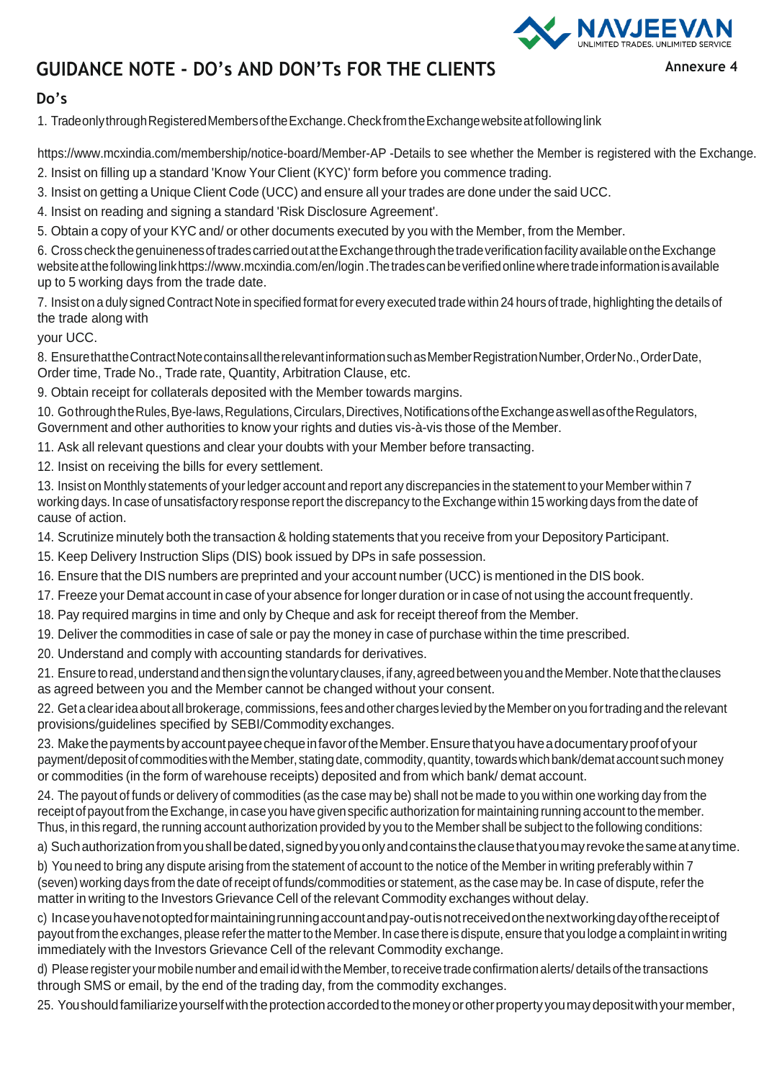

## **GUIDANCE NOTE - DO's AND DON'Ts FOR THE CLIENTS**

## **Do's**

1. TradeonlythroughRegisteredMembersoftheExchange.CheckfromtheExchangewebsiteatfollowinglink

[https://www.mcxindia.com/membership/notice-board/Member-](http://www.mcxindia.com/membership/notice-board/Member-AP)AP -Details to see whether the Member is registered with the Exchange. 2. Insist on filling up a standard 'Know Your Client (KYC)' form before you commence trading.

- 3. Insist on getting a Unique Client Code (UCC) and ensure all your trades are done under the said UCC.
- 4. Insist on reading and signing a standard 'Risk Disclosure Agreement'.

5. Obtain a copy of your KYC and/ or other documents executed by you with the Member, from the Member.

6. CrosscheckthegenuinenessoftradescarriedoutattheExchangethroughthetradeverificationfacilityavailableontheExchange websiteatthefollowinglin[khttps://www.mcxindia.com/en/login](http://www.mcxindia.com/en/login) .Thetradescanbeverifiedonlinewheretradeinformationisavailable up to 5 working days from the trade date.

7. Insist on a duly signed Contract Note in specified format for every executed trade within 24 hours of trade, highlighting the details of the trade along with

your UCC.

8. EnsurethattheContractNotecontainsalltherelevantinformationsuchasMemberRegistrationNumber,OrderNo.,OrderDate, Order time, Trade No., Trade rate, Quantity, Arbitration Clause, etc.

9. Obtain receipt for collaterals deposited with the Member towards margins.

10. Gothrough the Rules, Bye-laws, Regulations, Circulars, Directives, Notifications of the Exchange as well as of the Regulators, Government and other authorities to know your rights and duties vis-à-vis those of the Member.

- 11. Ask all relevant questions and clear your doubts with your Member before transacting.
- 12. Insist on receiving the bills for every settlement.

13. Insist on Monthly statements of yourledger account and report any discrepancies in the statement to your Member within 7 working days. In case of unsatisfactory response report the discrepancy to theExchangewithin 15 working days from the date of cause of action.

- 14. Scrutinize minutely both the transaction& holding statements that you receive from your Depository Participant.
- 15. Keep Delivery Instruction Slips (DIS) book issued by DPs in safe possession.
- 16. Ensure that the DIS numbers are preprinted and your account number (UCC) is mentioned in the DIS book.
- 17. Freeze your Demat account in case of your absence for longer duration or in case of not using the account frequently.
- 18. Pay required margins in time and only by Cheque and ask for receipt thereof from the Member.
- 19. Deliver the commodities in case of sale or pay the money in case of purchase within the time prescribed.
- 20. Understand and comply with accounting standards for derivatives.

21. Ensure to read, understand and then sign the voluntary clauses, if any, agreed between you and the Member. Note that the clauses as agreed between you and the Member cannot be changed without your consent.

22. Get a clear idea about all brokerage, commissions, fees and other charges levied by the Member on you for trading and the relevant provisions/guidelines specified by SEBI/Commodityexchanges.

23. MakethepaymentsbyaccountpayeechequeinfavoroftheMember.Ensurethatyouhaveadocumentaryproofofyour payment/depositof commoditieswiththeMember,statingdate, commodity,quantity,towardswhichbank/demataccountsuchmoney or commodities (in the form of warehouse receipts) deposited and from which bank/ demat account.

24. The payout of funds or delivery of commodities (as the case may be) shall not be made to you within one working day from the receipt of payout from the Exchange, in case you have given specific authorization for maintaining running account to the member. Thus, in this regard, the running account authorization provided by you to the Member shall be subject to the following conditions:

a) Such authorization from you shall be dated, signed by you only and contains the clause that you may revoke the same at any time.

b) You need to bring any dispute arising from the statement of account to the notice of the Member in writing preferably within 7 (seven) working days from the date of receipt of funds/commodities or statement, as the case may be. In case of dispute, refer the matter in writing to the Investors Grievance Cell of the relevant Commodity exchanges without delay.

c) Incaseyouhavenotoptedformaintainingrunningaccountandpay-outisnotreceivedonthenextworkingdayofthereceiptof payout from the exchanges, please referthe matterto the Member.In case there isdispute, ensure that you lodge a complaint inwriting immediately with the Investors Grievance Cell of the relevant Commodity exchange.

d) Please register your mobile number and email id with the Member, to receive trade confirmation alerts/ details of the transactions through SMS or email, by the end of the trading day, from the commodity exchanges.

25. Youshouldfamiliarizeyourselfwiththeprotectionaccordedtothemoneyorotherproperty youmaydepositwithyourmember,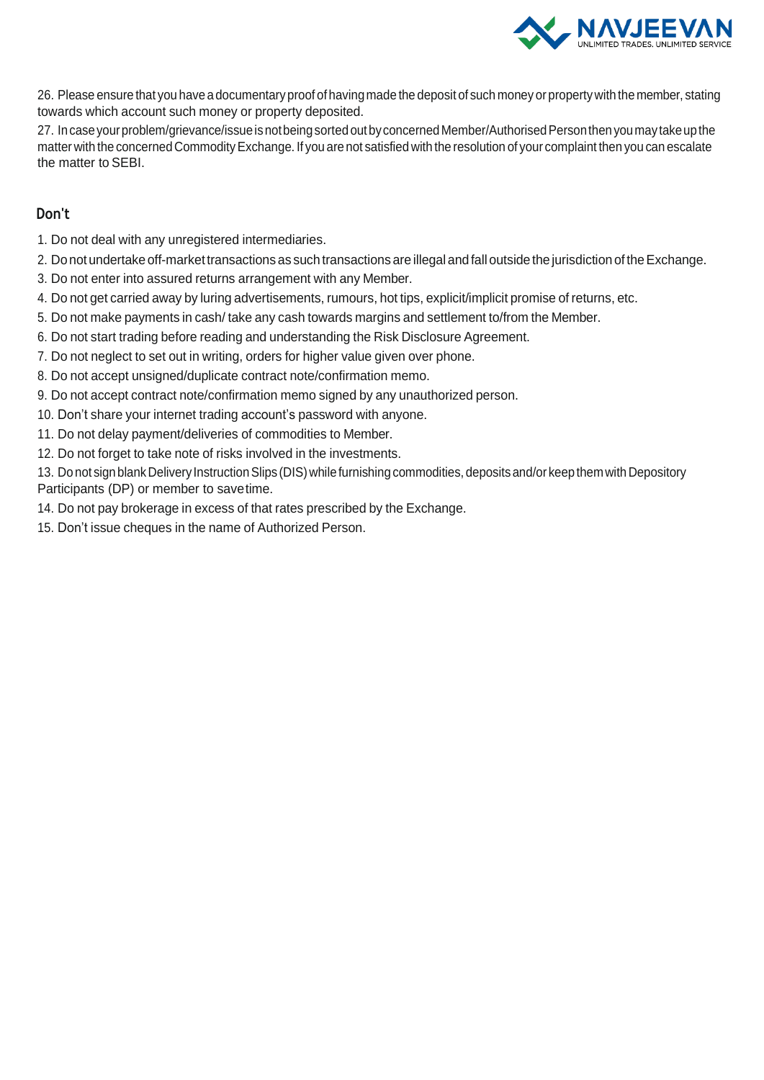

26. Please ensure that you have a documentary proof of havingmade the deposit of such money or propertywith the member, stating towards which account such money or property deposited.

27. In case your problem/grievance/issue is not being sorted out by concerned Member/Authorised Person then you may take up the matter with the concerned Commodity Exchange. If you are not satisfied with the resolution of your complaint then you can escalate the matter to SEBI.

## **Don't**

- 1. Do not deal with any unregistered intermediaries.
- 2. Do not undertake off-market transactions as such transactions are illegal and fall outside the jurisdiction of the Exchange.
- 3. Do not enter into assured returns arrangement with any Member.
- 4. Do not get carried away by luring advertisements, rumours, hot tips, explicit/implicit promise of returns, etc.
- 5. Do not make payments in cash/ take any cash towards margins and settlement to/from the Member.
- 6. Do not start trading before reading and understanding the Risk Disclosure Agreement.
- 7. Do not neglect to set out in writing, orders for higher value given over phone.
- 8. Do not accept unsigned/duplicate contract note/confirmation memo.
- 9. Do not accept contract note/confirmation memo signed by any unauthorized person.
- 10. Don't share your internet trading account's password with anyone.
- 11. Do not delay payment/deliveries of commodities to Member.
- 12. Do not forget to take note of risks involved in the investments.

13. Do not sign blank Delivery Instruction Slips (DIS) while furnishing commodities, deposits and/or keep them with Depository Participants (DP) or member to savetime.

- 14. Do not pay brokerage in excess of that rates prescribed by the Exchange.
- 15. Don't issue cheques in the name of Authorized Person.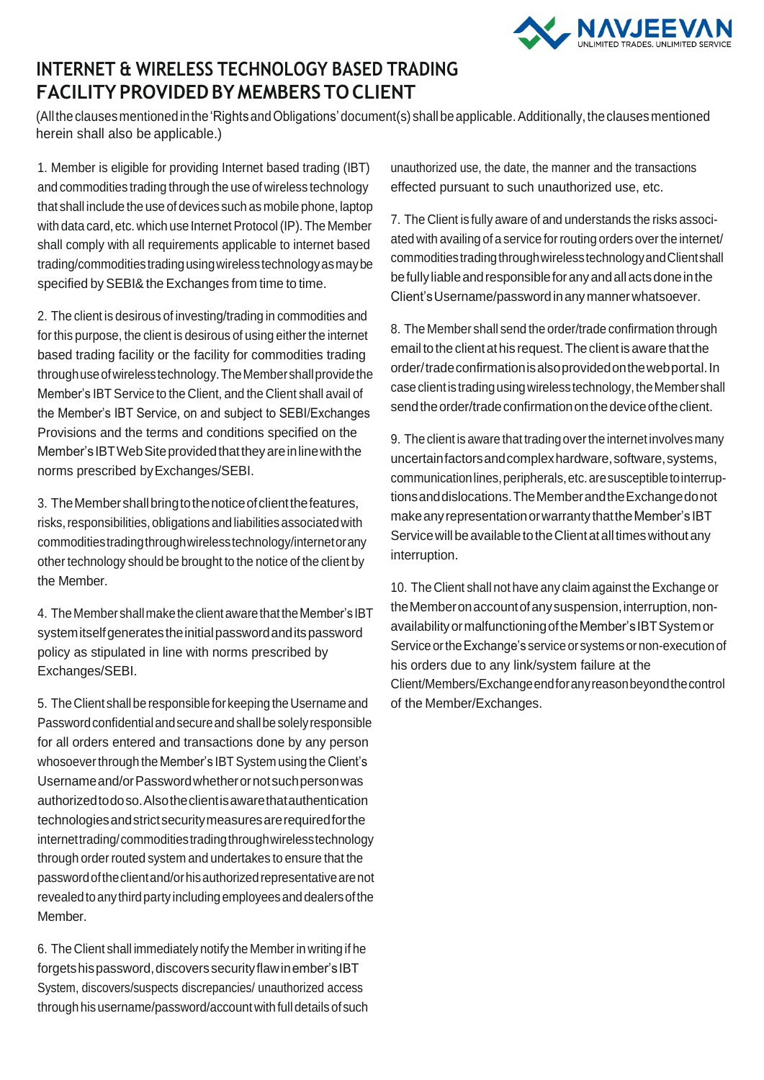

## **INTERNET & WIRELESS TECHNOLOGY BASED TRADING FACILITY PROVIDEDBYMEMBERS TO CLIENT**

(Allthe clausesmentionedinthe'RightsandObligations'document(s) shallbeapplicable.Additionally,theclausesmentioned herein shall also be applicable.)

1. Member is eligible for providing Internet based trading (IBT) and commodities trading through the use of wireless technology that shall include the use of devices such as mobile phone, laptop with data card, etc. which use Internet Protocol (IP). The Member shall comply with all requirements applicable to internet based trading/commoditiestradingusingwirelesstechnologyasmaybe specified by SEBI& the Exchanges from time to time.

2. The client is desirous of investing/trading in commodities and for this purpose, the client is desirous of using either the internet based trading facility or the facility for commodities trading through use of wireless technology. The Member shall provide the Member's IBT Service to the Client, and the Client shall avail of the Member's IBT Service, on and subject to SEBI/Exchanges Provisions and the terms and conditions specified on the Member's IBTWeb Site provided that they are in line with the norms prescribed byExchanges/SEBI.

3. TheMembershallbringtothenoticeofclientthefeatures, risks, responsibilities, obligations and liabilities associated with commoditiestradingthroughwirelesstechnology/internetorany other technology should be brought to the notice of the client by the Member.

4. TheMembershallmaketheclientawarethattheMember'sIBT systemitselfgeneratestheinitialpasswordanditspassword policy as stipulated in line with norms prescribed by Exchanges/SEBI.

5. The Client shall be responsible for keeping the Username and Password confidential and secure and shall be solely responsible for all orders entered and transactions done by any person whosoever through the Member's IBT System using the Client's Usernameand/orPasswordwhetherornotsuchpersonwas authorizedtodoso.Alsotheclientisawarethatauthentication technologiesandstrictsecuritymeasuresarerequiredforthe internettrading/commoditiestradingthroughwirelesstechnology through order routed system and undertakes to ensure that the passwordoftheclientand/orhisauthorizedrepresentativearenot revealed to any third party including employees and dealers of the Member.

6. The Client shall immediately notify the Memberin writing if he forgets his password, discovers security flaw in ember's IBT System, discovers/suspects discrepancies/ unauthorized access through his username/password/account with full details of such unauthorized use, the date, the manner and the transactions effected pursuant to such unauthorized use, etc.

7. The Client is fully aware of and understands the risks associated with availing of a service for routing orders over the internet/ commoditiestradingthroughwirelesstechnologyandClientshall be fully liable and responsible for any and all acts done in the Client'sUsername/passwordinanymannerwhatsoever.

8. The Member shall send the order/trade confirmation through emailtothe clientathis request.Theclient isaware thatthe order/tradeconfirmationisalsoprovidedonthewebportal.In case client is trading using wireless technology, the Member shall send the order/trade confirmation on the device of the client.

9. The client is aware that tradingoverthe internet involves many uncertainfactorsandcomplexhardware,software,systems, communication lines, peripherals, etc. are susceptible to interruptionsanddislocations.TheMemberandtheExchangedonot make any representation or warranty that the Member's IBT Service will be available to the Client at all times without any interruption.

10. The Client shall not have any claim against the Exchange or the Member on account of any suspension, interruption, nonavailabilityormalfunctioningoftheMember'sIBTSystemor Service or the Exchange's service or systems or non-execution of his orders due to any link/system failure at the Client/Members/Exchangeendforanyreasonbeyondthecontrol of the Member/Exchanges.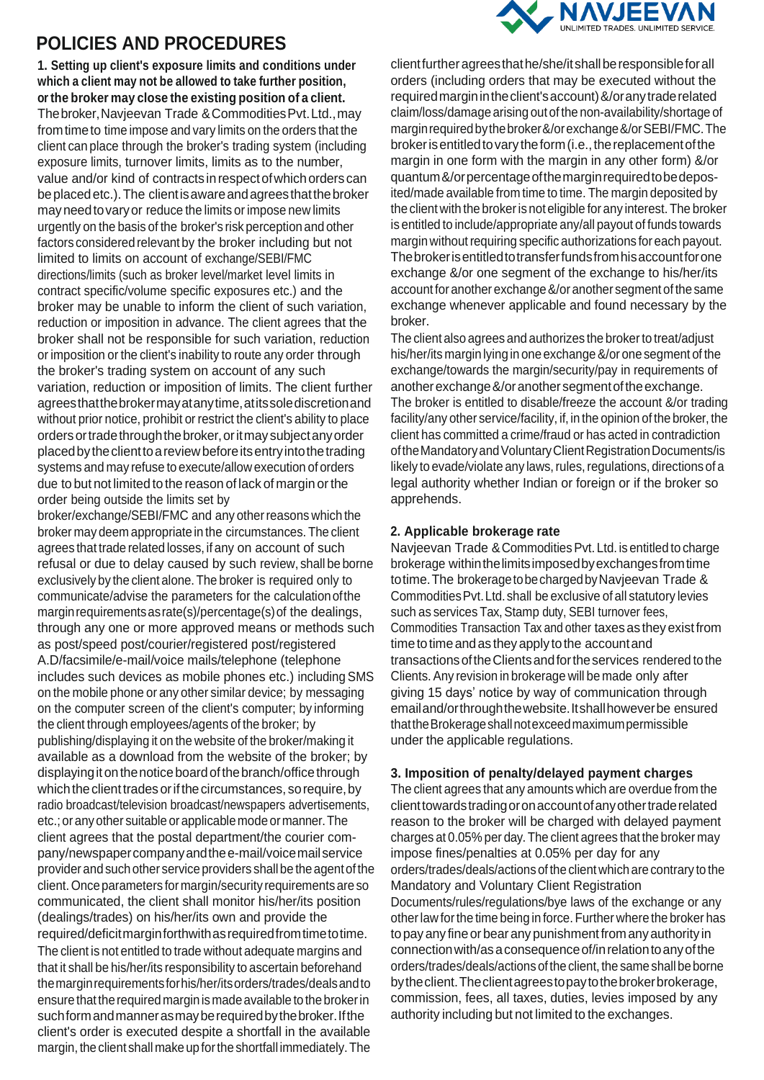## **POLICIES AND PROCEDURES**

**1. Setting up client's exposure limits and conditions under which a client may not be allowed to take further position, or the broker may close the existing position of a client.** Thebroker,Navjeevan Trade &CommoditiesPvt.Ltd.,may fromtimeto time impose and vary limits on the orders that the client can place through the broker's trading system (including exposure limits, turnover limits, limits as to the number, value and/or kind of contracts in respect of which orders can beplacedetc.).The clientisawareandagreesthatthebroker mayneedtovaryor reduce the limits or impose new limits urgently on the basis of the broker's risk perception and other factors considered relevant by the broker including but not limited to limits on account of exchange/SEBI/FMC directions/limits (such as broker level/market level limits in contract specific/volume specific exposures etc.) and the broker may be unable to inform the client of such variation, reduction or imposition in advance. The client agrees that the broker shall not be responsible for such variation, reduction or imposition or the client's inability to route any order through the broker's trading system on account of any such variation, reduction or imposition of limits. The client further agreesthatthebrokermayatanytime,atitssolediscretionand without prior notice, prohibit or restrict the client's ability to place ordersortradethroughthebroker,oritmaysubjectanyorder placedbytheclienttoareviewbeforeitsentryintothetrading systems and may refuse to execute/allow execution of orders due to but not limited to the reason of lack of margin or the order being outside the limits set by

broker/exchange/SEBI/FMC and any otherreasons which the broker may deem appropriate in the circumstances. The client agrees that trade related losses, if any on account of such refusal or due to delay caused by such review, shall be borne exclusively by the client alone.The broker is required only to communicate/advise the parameters for the calculationofthe marginrequirementsasrate(s)/percentage(s)of the dealings, through any one or more approved means or methods such as post/speed post/courier/registered post/registered A.D/facsimile/e-mail/voice mails/telephone (telephone includes such devices as mobile phones etc.) including SMS on the mobile phone or any other similar device; by messaging on the computer screen of the client's computer; by informing the client through employees/agents of the broker; by publishing/displaying it on the website of the broker/making it available as a download from the website of the broker; by displaying it on the notice board of the branch/office through which the client trades or if the circumstances, so require, by radio broadcast/television broadcast/newspapers advertisements, etc.; or anyother suitable orapplicablemode ormanner.The client agrees that the postal department/the courier company/newspapercompanyandthee-mail/voicemailservice provider and such other service providers shallbe the agentof the client. Once parameters for margin/security requirements are so communicated, the client shall monitor his/her/its position (dealings/trades) on his/her/its own and provide the required/deficitmarginforthwithasrequiredfromtimetotime. The client is not entitled to trade without adequate margins and that it shall be his/her/its responsibility to ascertain beforehand themarginrequirementsforhis/her/itsorders/trades/dealsandto ensure that therequired margin ismadeavailable tothe brokerin such form and manner as may be required by the broker. If the client's order is executed despite a shortfall in the available margin, the client shall make up forthe shortfall immediately.The



clientfurther agreesthathe/she/itshallberesponsibleforall orders (including orders that may be executed without the requiredmarginintheclient'saccount)&/oranytraderelated claim/loss/damage arising out of the non-availability/shortage of marginrequiredbythebroker&/orexchange&/orSEBI/FMC.The broker is entitled to vary the form (i.e., the replacement of the margin in one form with the margin in any other form) &/or quantum&/orpercentageofthemarginrequiredtobedeposited/made available from time to time. The margin deposited by the client with the brokeris not eligible for any interest. The broker is entitled to include/appropriate any/all payout of funds towards margin without requiring specific authorizations for each payout. Thebrokerisentitledtotransferfundsfromhisaccountforone exchange &/or one segment of the exchange to his/her/its account for another exchange&/or another segment of the same exchange whenever applicable and found necessary by the broker.

The client also agrees and authorizes the broker to treat/adjust his/her/its margin lying in one exchange&/or one segment of the exchange/towards the margin/security/pay in requirements of another exchange &/or another segment of the exchange. The broker is entitled to disable/freeze the account &/or trading facility/any other service/facility, if, in the opinion of the broker, the client has committed a crime/fraud or has acted in contradiction oftheMandatoryandVoluntaryClientRegistrationDocuments/is likely to evade/violate any laws, rules, regulations, directions of a legal authority whether Indian or foreign or if the broker so apprehends.

### **2. Applicable brokerage rate**

Navjeevan Trade &CommoditiesPvt. Ltd. is entitled to charge brokerage withinthelimitsimposedbyexchangesfromtime totime.The brokeragetobechargedbyNavjeevan Trade & CommoditiesPvt.Ltd.shall be exclusive of all statutory levies such as services Tax, Stamp duty, SEBI turnover fees, Commodities Transaction Tax and other taxes as they exist from time to time and as they apply to the account and transactionsoftheClientsandfortheservices rendered to the Clients.Any revision in brokerage will be made only after giving 15 days' notice by way of communication through emailand/orthroughthewebsite.Itshallhoweverbe ensured thattheBrokerageshallnotexceedmaximumpermissible under the applicable regulations.

#### **3. Imposition of penalty/delayed payment charges**

The client agrees that any amounts which are overdue from the clienttowardstradingoronaccountofanyothertraderelated reason to the broker will be charged with delayed payment charges at 0.05% per day.The client agrees that the broker may impose fines/penalties at 0.05% per day for any orders/trades/deals/actionsof the clientwhich are contrary to the Mandatory and Voluntary Client Registration Documents/rules/regulations/bye laws of the exchange or any otherlaw forthe time being in force. Further where the broker has topayany fineor bearanypunishmentfromanyauthority in connectionwith/asaconsequenceof/inrelationtoanyofthe orders/trades/deals/actions of the client, the same shall be borne bytheclient.Theclientagreestopaytothebrokerbrokerage, commission, fees, all taxes, duties, levies imposed by any authority including but not limited to the exchanges.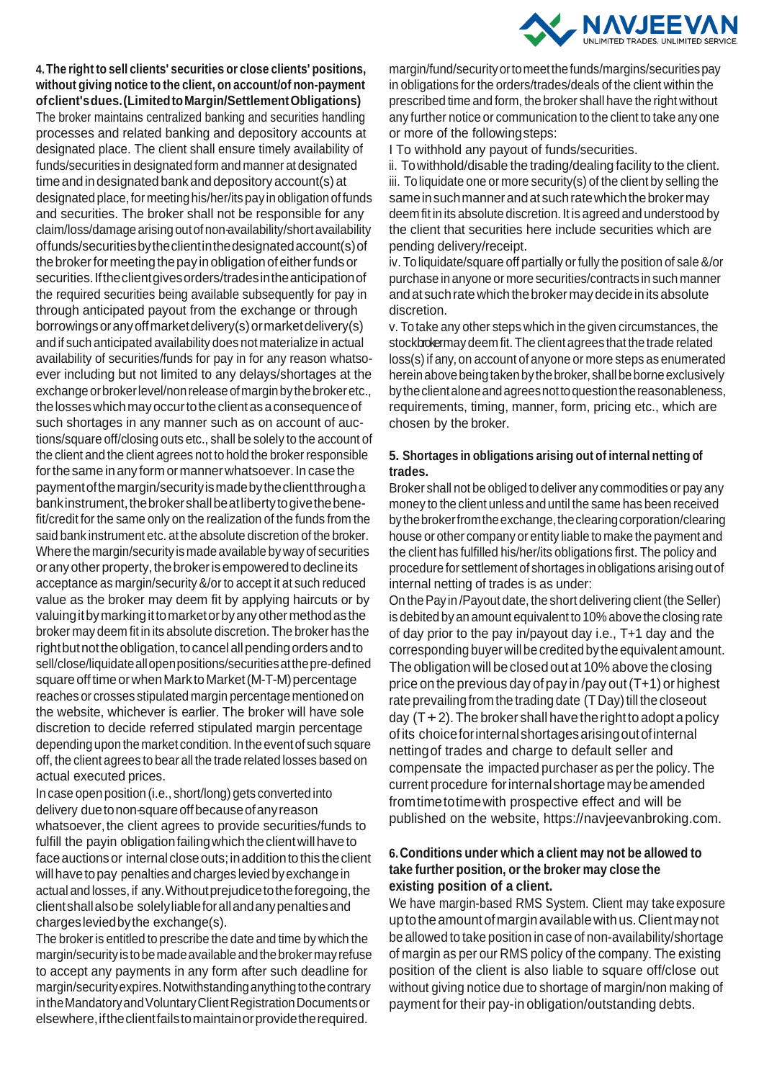

**4.The right to sell clients' securities or close clients' positions, without giving notice to the client, on account/of non-payment ofclient'sdues.(LimitedtoMargin/SettlementObligations)**  The broker maintains centralized banking and securities handling processes and related banking and depository accounts at designated place. The client shall ensure timely availability of funds/securities in designated form and manner at designated time and in designated bank and depository account(s) at designated place, for meeting his/her/its pay in obligation of funds and securities. The broker shall not be responsible for any claim/loss/damagearisingoutofnon-availability/shortavailability offunds/securitiesbytheclientinthedesignatedaccount(s)of thebrokerformeetingthepay inobligationofeitherfundsor securities. If the client gives orders/trades in the anticipation of the required securities being available subsequently for pay in through anticipated payout from the exchange or through borrowings or any off market delivery(s) or market delivery(s) and if such anticipated availability does not materialize in actual availability of securities/funds for pay in for any reason whatsoever including but not limited to any delays/shortages at the exchange or broker level/non release of margin by the broker etc., the losses which may occur to the client as a consequence of such shortages in any manner such as on account of auctions/square off/closing outs etc., shall be solely to the account of the client and the client agrees not to hold the broker responsible for the same in any form or manner whatsoever. In case the paymentofthemargin/securityismadebytheclientthrougha bankinstrument, the broker shall be at liberty to give the benefit/credit for the same only on the realization of the funds from the said bank instrument etc. at the absolute discretion of the broker. Where the margin/security ismade available byway of securities or any other property, the broker is empowered to decline its acceptance as margin/security &/or to accept it at such reduced value as the broker may deem fit by applying haircuts or by valuingitbymarkingittomarketorbyanyothermethodasthe broker may deem fit in its absolute discretion. The broker has the right but not the obligation, to cancel all pending orders and to sell/close/liquidateallopenpositions/securitiesatthepre-defined square off time or when Mark to Market (M-T-M) percentage reaches or crosses stipulated margin percentage mentioned on the website, whichever is earlier. The broker will have sole discretion to decide referred stipulated margin percentage depending upon the market condition. In the event of such square off, the client agrees to bear all the trade related losses based on actual executed prices.

In case open position (i.e., short/long) gets converted into delivery duetonon-squareoffbecauseofanyreason whatsoever, the client agrees to provide securities/funds to fulfill the payin obligation failing which the client will have to face auctions or internal close outs; in addition to this the client will have to pay penalties and charges levied by exchange in actual and losses, if any.Withoutprejudicetotheforegoing,the clientshallalsobe solelyliableforallandanypenaltiesand chargesleviedbythe exchange(s).

The broker is entitled to prescribe the date and time by which the margin/security is to be made available and the broker may refuse to accept any payments in any form after such deadline for margin/securityexpires.Notwithstandinganythingtothecontrary in the Mandatory and Voluntary Client Registration Documents or elsewhere,iftheclientfailstomaintainorprovidetherequired.

margin/fund/securityortomeetthefunds/margins/securitiespay in obligations for the orders/trades/deals of the client within the prescribed time and form, the broker shall have the right without any further notice or communication to the client to take any one or more of the followingsteps:

I To withhold any payout of funds/securities.

ii. Towithhold/disable the trading/dealing facility to the client. iii. Toliquidate one or more security(s) of the client by selling the sameinsuchmannerandat suchratewhichthebrokermay deem fit in its absolute discretion. It is agreed and understood by the client that securities here include securities which are pending delivery/receipt.

iv. Toliquidate/square off partially or fully the position of sale&/or purchase in anyone or more securities/contracts in such manner and at such rate which the broker may decide in its absolute discretion.

v. Totake any other steps which in the given circumstances, the stockbrokermay deem fit.The client agrees that the trade related loss(s)if any,on account of anyone or more steps as enumerated herein above being taken by the broker, shall be borne exclusively by the client alone and agrees not to question the reasonableness, requirements, timing, manner, form, pricing etc., which are chosen by the broker.

### **5. Shortages in obligations arising out of internal netting of trades.**

Broker shall not be obliged to deliver any commodities or pay any money to the client unless and until the same has been received by the broker from the exchange, the clearing corporation/clearing house or other company or entity liable to make the payment and the client has fulfilled his/her/its obligations first. The policy and procedure for settlement of shortages in obligations arising out of internal netting of trades is as under:

On the Pay in /Payout date, the short delivering client (the Seller) is debited by an amount equivalent to 10% above the closing rate of day prior to the pay in/payout day i.e., T+1 day and the corresponding buyer will be credited by the equivalent amount. The obligation will beclosed out at 10% above theclosing price on the previous day of pay in/pay out  $(T+1)$  or highest rate prevailing from the trading date (T Day) till the closeout day  $(T+2)$ . The broker shall have the right to adopt a policy ofits choiceforinternalshortagesarisingoutofinternal nettingof trades and charge to default seller and compensate the impacted purchaser as per the policy. The current procedure forinternalshortagemaybeamended fromtimetotimewith prospective effect and will be published on the website, https://navjeevanbroking.com.

## **6.Conditions under which a client may not be allowed to take further position, or the broker may close the existing position of a client.**

We have margin-based RMS System. Client may take exposure uptotheamountofmarginavailablewithus.Clientmaynot be allowed to take position in case of non-availability/shortage of margin as per our RMS policy of the company. The existing position of the client is also liable to square off/close out without giving notice due to shortage of margin/non making of payment for their pay-in obligation/outstanding debts.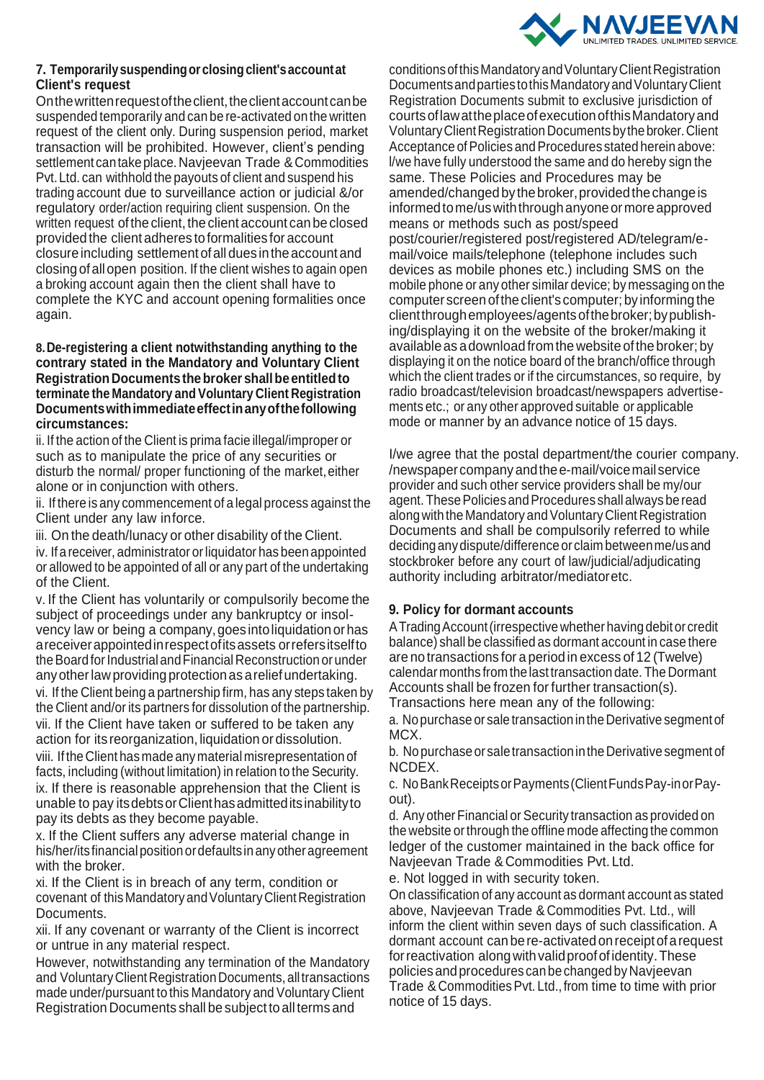

### **7. Temporarilysuspendingor closingclient'saccountat Client's request**

Onthewrittenrequestoftheclient,theclientaccountcanbe suspended temporarily and can be re-activated on the written request of the client only. During suspension period, market transaction will be prohibited. However, client's pending settlement cantake place.Navjeevan Trade & Commodities Pvt.Ltd. can withhold the payouts of client and suspend his trading account due to surveillance action or judicial &/or regulatory order/action requiring client suspension. On the written request of the client, the client account can be closed provided the client adheres toformalities for account closureincluding settlement ofall dues intheaccount and closing ofallopen position. If the client wishes to again open a broking account again then the client shall have to complete the KYC and account opening formalities once again.

#### **8.De-registering a client notwithstanding anything to the contrary stated in the Mandatory and Voluntary Client RegistrationDocumentsthebroker shallbeentitledto terminate the Mandatory and Voluntary Client Registration Documentswithimmediateeffectinanyofthefollowing circumstances:**

ii. If the action of the Client is prima facie illegal/improper or such as to manipulate the price of any securities or disturb the normal/ proper functioning of the market, either alone or in conjunction with others.

ii. If there is any commencement of a legal process against the Client under any law inforce.

iii. On the death/lunacy or other disability of the Client.

iv. If a receiver, administrator or liquidator has been appointed or allowed to be appointed of all or any part of the undertaking of the Client.

v. If the Client has voluntarily or compulsorily become the subject of proceedings under any bankruptcy or insolvency law or being a company,goes intoliquidation orhas areceiverappointedinrespectofitsassets orrefersitselfto the Board for Industrial and Financial Reconstruction or under anyotherlawproviding protectionas areliefundertaking. vi. If the Client being a partnership firm, has any steps taken by the Client and/or its partners for dissolution of the partnership. vii. If the Client have taken or suffered to be taken any action for its reorganization, liquidation or dissolution. viii. If the Client has made anymaterial misrepresentation of facts, including (without limitation) in relation to the Security. ix. If there is reasonable apprehension that the Client is unable to pay itsdebtsorClienthasadmitteditsinabilityto pay its debts as they become payable.

x. If the Client suffers any adverse material change in his/her/its financial position or defaults in any other agreement with the broker.

xi. If the Client is in breach of any term, condition or covenant of thisMandatoryandVoluntaryClient Registration Documents.

xii. If any covenant or warranty of the Client is incorrect or untrue in any material respect.

However, notwithstanding any termination of the Mandatory and VoluntaryClient Registration Documents, alltransactions made under/pursuant to this Mandatory and Voluntary Client Registration Documents shall be subject to all terms and

conditionsofthisMandatoryandVoluntaryClientRegistration Documents and parties to this Mandatory and Voluntary Client Registration Documents submit to exclusive jurisdiction of courtsoflawattheplaceofexecutionofthisMandatoryand VoluntaryClientRegistration Documentsbythebroker.Client Acceptance of Policies and Procedures stated herein above: l/we have fully understood the same and do hereby sign the same. These Policies and Procedures may be amended/changed by the broker, provided the change is informedtome/uswiththroughanyoneormoreapproved means or methods such as post/speed post/courier/registered post/registered AD/telegram/email/voice mails/telephone (telephone includes such devices as mobile phones etc.) including SMS on the mobile phone or any other similar device; by messaging on the computer screen oftheclient's computer; by informing the clientthroughemployees/agentsofthebroker;bypublishing/displaying it on the website of the broker/making it available as adownload fromthe website ofthe broker; by displaying it on the notice board of the branch/office through which the client trades or if the circumstances, so require, by radio broadcast/television broadcast/newspapers advertisements etc.; or any other approved suitable or applicable mode or manner by an advance notice of 15 days.

I/we agree that the postal department/the courier company. /newspapercompany andthee-mail/voicemailservice provider and such other service providers shall be my/our agent. These Policies and Procedures shall always be read along with the Mandatory and Voluntary Client Registration Documents and shall be compulsorily referred to while decidinganydispute/difference orclaim betweenme/usand stockbroker before any court of law/judicial/adjudicating authority including arbitrator/mediatoretc.

## **9. Policy for dormant accounts**

ATradingAccount(irrespective whether havingdebit or credit balance) shall be classified as dormant account in case there are no transactions for a period in excess of 12 (Twelve) calendar months from the last transaction date. The Dormant Accounts shall be frozen for further transaction(s). Transactions here mean any of the following:

a. No purchase or sale transaction in the Derivative segment of MCX.

b. No purchase or sale transaction in the Derivative segment of NCDEX.

c. NoBankReceiptsorPayments(ClientFundsPay-inorPayout).

d. Any other Financial or Security transaction as provided on the website orthrough the offline mode affecting the common ledger of the customer maintained in the back office for Navjeevan Trade & Commodities Pvt. Ltd.

e. Not logged in with security token.

On classification of any account as dormant account as stated above, Navjeevan Trade & Commodities Pvt. Ltd., will inform the client within seven days of such classification. A dormant account can be re-activated on receipt of a request for reactivation along with valid proof of identity. These policies andprocedures can bechanged byNavjeevan Trade &CommoditiesPvt. Ltd., from time to time with prior notice of 15 days.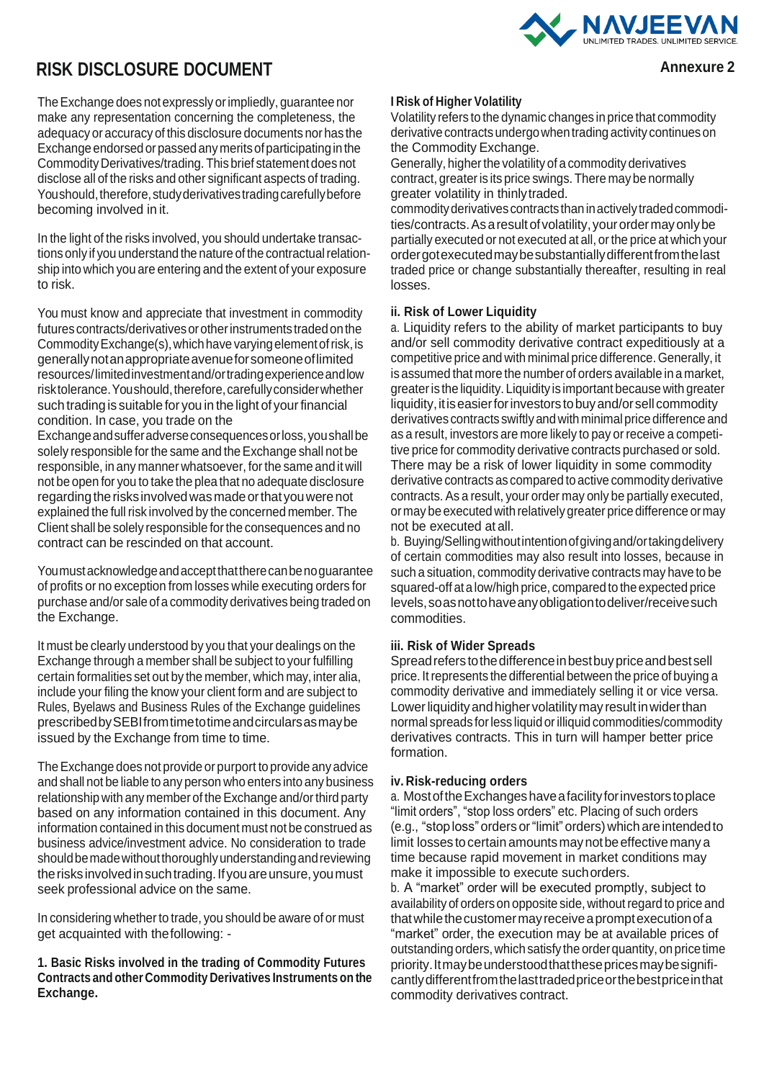

# **RISK DISCLOSURE DOCUMENT Annexure 2**

The Exchange does not expressly or impliedly, guarantee nor make any representation concerning the completeness, the adequacy or accuracy of this disclosure documents norhas the Exchange endorsed or passed any merits of participating in the CommodityDerivatives/trading. Thisbrief statement doesnot disclose all of the risks and other significant aspects of trading. Youshould, therefore, study derivatives trading carefully before becoming involved in it.

In the light of the risks involved, you should undertake transactions only if you understand the nature of the contractual relationship into which you are entering and the extent of your exposure to risk.

You must know and appreciate that investment in commodity futures contracts/derivatives or other instruments traded on the CommodityExchange(s),whichhave varyingelementofrisk,is generallynotanappropriateavenueforsomeoneoflimited resources/limitedinvestmentand/ortradingexperienceandlow risktolerance. Youshould, therefore, carefully consider whether such trading is suitable for you in the light of your financial condition. In case, you trade on the

Exchangeandsufferadverseconsequencesorloss,youshallbe solely responsible for the same and the Exchange shall not be responsible, in any manner whatsoever, forthe same and it will not be open for you to take the plea that no adequate disclosure regarding the risks involved was made or that you were not explained the full risk involved by the concerned member.The Client shall be solely responsible forthe consequences and no contract can be rescinded on that account.

Youmustacknowledgeandacceptthattherecanbenoguarantee of profits or no exception from losses while executing orders for purchase and/or sale of a commodity derivatives being traded on the Exchange.

It must be clearly understood by you that your dealings on the Exchange through a member shall be subject to your fulfilling certain formalities set out by the member, which may, inter alia, include your filing the know your client form and are subject to Rules, Byelaws and Business Rules of the Exchange guidelines prescribedbySEBIfromtimetotimeandcircularsasmaybe issued by the Exchange from time to time.

The Exchange does not provide or purport to provide any advice and shall not be liable to any person who enters into any business relationship with any member of the Exchange and/or third party based on any information contained in this document. Any information contained in this document must not be construed as business advice/investment advice. No consideration to trade should be made without thoroughly understanding and reviewing the risks involved in such trading. If you are unsure, you must seek professional advice on the same.

In considering whether to trade, you should be aware of or must get acquainted with thefollowing: -

**1. Basic Risks involved in the trading of Commodity Futures Contracts and other Commodity Derivatives Instruments on the Exchange.**

#### **I Risk of Higher Volatility**

Volatility refers to the dynamic changes in price that commodity derivative contracts undergo when trading activity continues on the Commodity Exchange.

Generally, higher the volatility of a commodity derivatives contract, greateris its price swings. There may be normally greater volatility in thinlytraded.

commodityderivatives contractsthaninactivelytradedcommodities/contracts. As a result of volatility, your order may only be partially executed or not executed at all, or the price at which your ordergotexecutedmaybesubstantiallydifferentfromthelast traded price or change substantially thereafter, resulting in real losses.

#### **ii. Risk of Lower Liquidity**

a. Liquidity refers to the ability of market participants to buy and/or sell commodity derivative contract expeditiously at a competitive price and with minimal price difference.Generally, it is assumed that more the number of orders available in a market, greateris the liquidity. Liquidity is important because with greater liquidity, it is easier for investors to buy and/or sell commodity derivatives contracts swiftlyandwith minimalprice difference and as a result, investors are more likely to pay or receive a competitive price for commodity derivative contracts purchased or sold. There may be a risk of lower liquidity in some commodity derivative contracts as compared to active commodity derivative contracts. As a result, your order may only be partially executed, ormay be executed with relatively greater price difference ormay not be executed at all.

b. Buying/Sellingwithoutintentionofgivingand/ortakingdelivery of certain commodities may also result into losses, because in such a situation, commodity derivative contracts may have to be squared-off at a low/high price, compared to the expected price levels,soasnottohaveanyobligationtodeliver/receivesuch commodities.

#### **iii. Risk of Wider Spreads**

Spreadrefers tothedifferenceinbestbuypriceandbestsell price. Itrepresents the differential between the price of buying a commodity derivative and immediately selling it or vice versa. Lower liquidity and higher volatility may result in wider than normal spreads forless liquid orilliquid commodities/commodity derivatives contracts. This in turn will hamper better price formation.

#### **iv. Risk-reducing orders**

a. MostoftheExchangeshaveafacilityforinvestors toplace "limit orders", "stop loss orders" etc. Placing of such orders (e.g., "stoploss"orders or"limit" orders)which areintendedto limit losses to certain amounts may not be effective many a time because rapid movement in market conditions may make it impossible to execute suchorders.

b. A "market" order will be executed promptly, subject to availability of orders on opposite side, without regard to price and that while the customer may receive a prompt execution of a "market" order, the execution may be at available prices of outstanding orders,which satisfy the orderquantity, on pricetime priority. It may be understood that these prices may be significantlydifferentfromthelasttradedpriceorthebestpriceinthat commodity derivatives contract.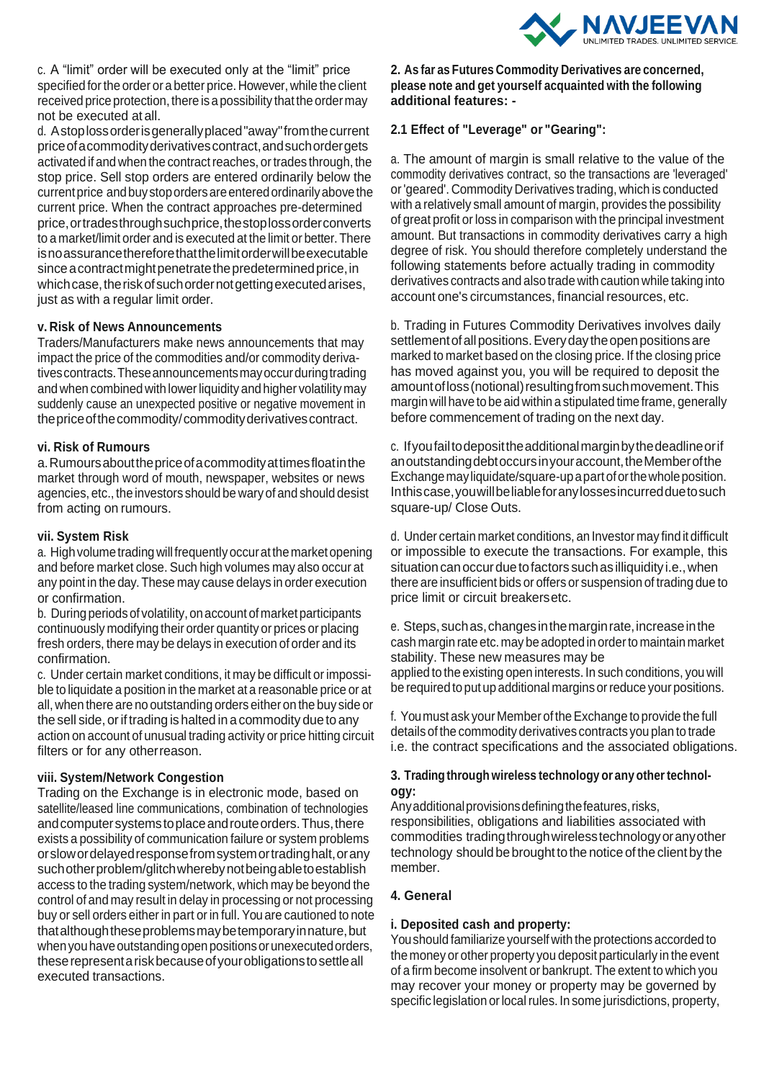

c. A "limit" order will be executed only at the "limit" price specified for the order or a better price. However, while the client received price protection, there is a possibility that the order may not be executed at all.

d. Astoplossorderisgenerallyplaced"away"fromthecurrent priceofacommodityderivativescontract,andsuchordergets activated if and when the contract reaches, or trades through, the stop price. Sell stop orders are entered ordinarily below the current price and buy stop orders are entered ordinarily above the current price. When the contract approaches pre-determined price,ortradesthroughsuchprice,thestoplossorderconverts to a market/limit order and is executed at the limit or better.There is no assurance therefore that the limit order will be executable since a contract might penetrate the predetermined price, in which case, the risk of such order not getting executed arises, just as with a regular limit order.

#### **v. Risk of News Announcements**

Traders/Manufacturers make news announcements that may impact the price of the commodities and/or commodity derivativescontracts.Theseannouncementsmayoccurduringtrading and when combined with lower liquidity and higher volatility may suddenly cause an unexpected positive or negative movement in the price of the commodity/commodity derivatives contract.

#### **vi. Risk of Rumours**

a.Rumoursaboutthepriceofacommodityattimesfloatinthe market through word of mouth, newspaper, websites or news agencies, etc., the investors should be wary of and should desist from acting on rumours.

#### **vii. System Risk**

a. High volume trading will frequently occur at the market opening and before market close. Such high volumes may also occur at any point in the day.These may cause delays in order execution or confirmation.

b. During periods of volatility, on account of market participants continuously modifying their order quantity or prices or placing fresh orders, there may be delays in execution of order and its confirmation.

c. Under certain market conditions, it may be difficult or impossible to liquidate a position in the market at a reasonable price or at all,when there are no outstanding orders either on the buy side or the sell side, or if trading is halted in a commodity due to any action on account of unusual trading activity or price hitting circuit filters or for any otherreason.

#### **viii. System/Network Congestion**

Trading on the Exchange is in electronic mode, based on satellite/leased line communications, combination of technologies andcomputersystemstoplaceandrouteorders.Thus,there exists a possibility of communication failure or system problems orslowordelayedresponsefromsystemortradinghalt,orany suchotherproblem/glitchwherebynotbeingabletoestablish access to the trading system/network, which may be beyond the control of and may result in delay in processing or not processing buy or sell orders either in part or in full. You are cautioned to note thatalthoughtheseproblemsmaybetemporaryinnature,but when you have outstanding open positions or unexecuted orders, theserepresentariskbecauseofyourobligationstosettleall executed transactions.

#### **2. As far as Futures Commodity Derivatives are concerned, please note and get yourself acquainted with the following additional features: -**

#### **2.1 Effect of "Leverage" or "Gearing":**

a. The amount of margin is small relative to the value of the commodity derivatives contract, so the transactions are 'leveraged' or'geared'. Commodity Derivatives trading, which is conducted with a relatively small amount of margin, provides the possibility of great profit or loss in comparison with the principal investment amount. But transactions in commodity derivatives carry a high degree of risk. You should therefore completely understand the following statements before actually trading in commodity derivatives contracts and also trade with caution while taking into account one's circumstances, financial resources, etc.

b. Trading in Futures Commodity Derivatives involves daily settlement of all positions. Every day the open positions are marked to market based on the closing price. If the closing price has moved against you, you will be required to deposit the amount of loss (notional) resulting from such movement. This margin will have to be aid within a stipulated time frame, generally before commencement of trading on the next day.

c. Ifyoufailtodeposittheadditionalmarginbythedeadlineorif anoutstanding debt occurs in your account, the Member of the Exchangemayliquidate/square-upapart oforthewholeposition. Inthiscase,youwillbeliableforanylossesincurredduetosuch square-up/ Close Outs.

d. Under certain market conditions, an Investor may find it difficult or impossible to execute the transactions. For example, this situation can occur due to factors such as illiquidity i.e., when there are insufficient bids or offers or suspension of trading due to price limit or circuit breakersetc.

e. Steps,suchas,changesinthemarginrate,increaseinthe cash margin rate etc. may be adopted in order to maintain market stability. These new measures may be applied to the existing open interests. In such conditions, you will be required to put up additional margins or reduce your positions.

f. Youmust ask your Member of theExchange to provide the full details of the commodity derivatives contracts you plan to trade i.e. the contract specifications and the associated obligations.

#### **3. Trading through wireless technology or any othertechnology:**

Any additional provisions defining the features, risks, responsibilities, obligations and liabilities associated with commodities tradingthroughwirelesstechnologyoranyother technology should be brought tothe notice of the client by the member.

#### **4. General**

#### **i. Deposited cash and property:**

Youshould familiarize yourself with the protections accorded to the money or other property you deposit particularly in the event of a firm become insolvent or bankrupt. The extent to which you may recover your money or property may be governed by specific legislation or local rules. In some jurisdictions, property,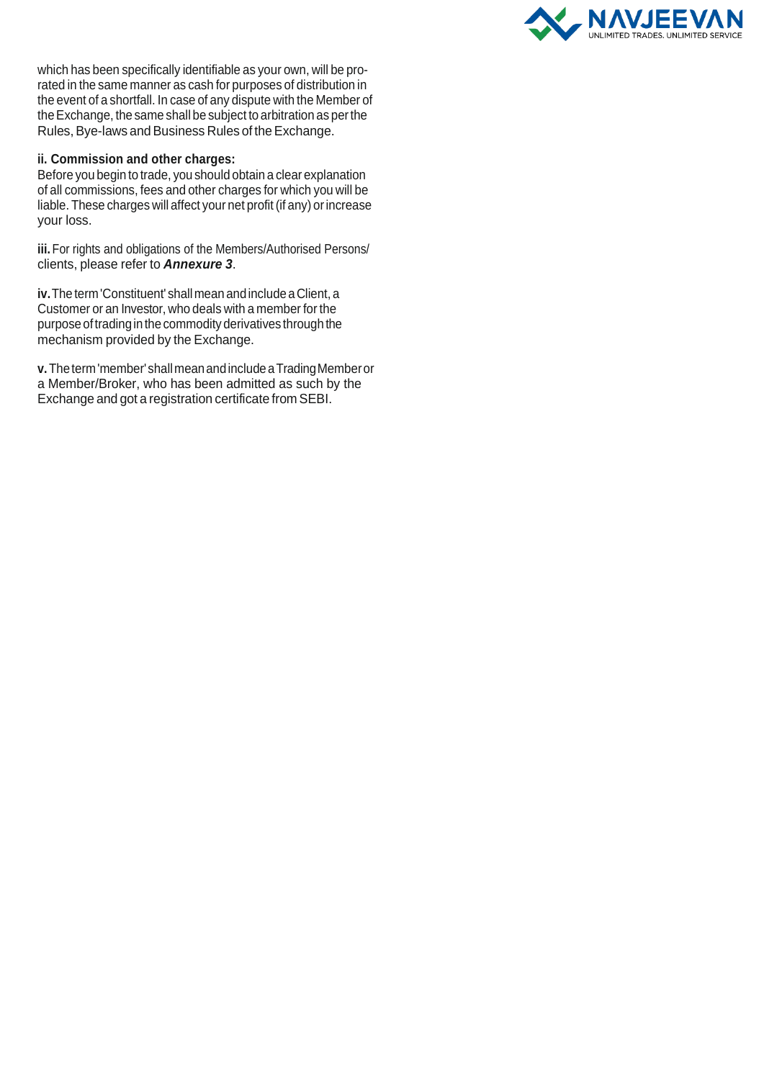

which has been specifically identifiable as your own, will be prorated in the same manner as cash for purposes of distribution in the event of a shortfall. In case of any dispute with the Member of theExchange, the same shall be subject to arbitration as perthe Rules, Bye-laws and Business Rules of the Exchange.

#### **ii. Commission and other charges:**

Before you begin to trade, you should obtain a clear explanation of all commissions, fees and other charges for which you will be liable. These charges will affect your net profit (if any) or increase your loss.

**iii.** For rights and obligations of the Members/Authorised Persons/ clients, please refer to *Annexure 3*.

**iv.**The term'Constituent' shallmean andincludeaClient, a Customer or an Investor, who deals with a member for the purpose oftradingin the commodityderivatives through the mechanism provided by the Exchange.

**v.** Theterm'member'shallmeanandincludeaTradingMemberor a Member/Broker, who has been admitted as such by the Exchange and got a registration certificate from SEBI.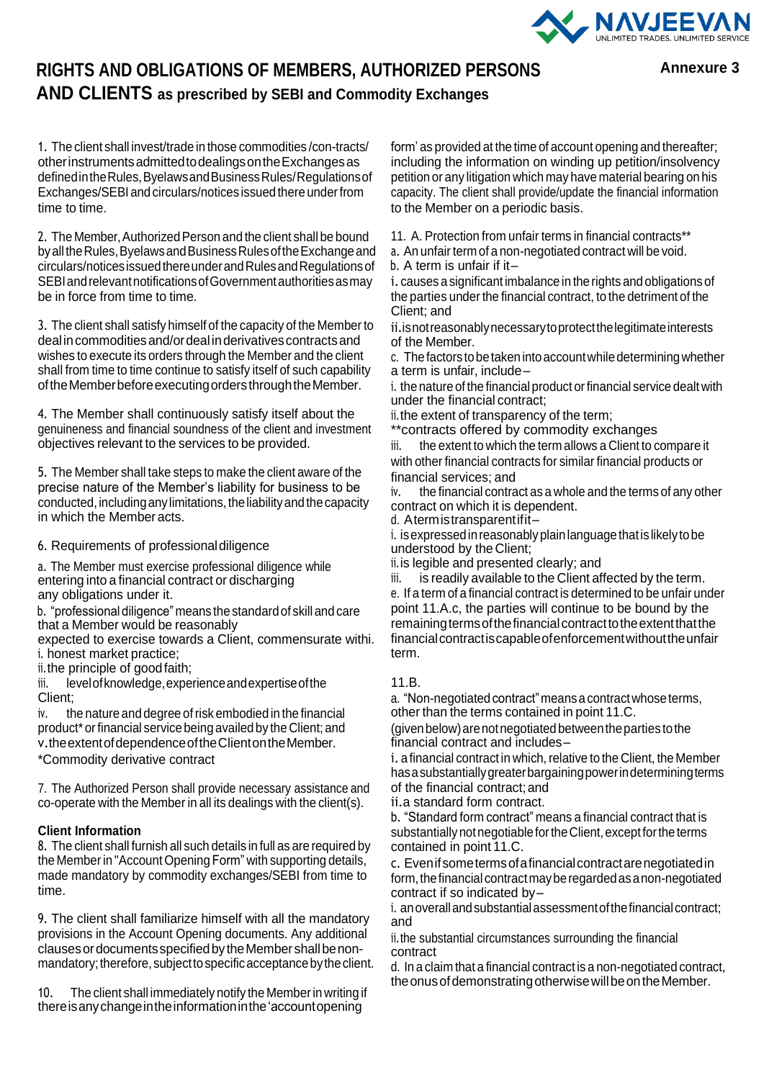

## **RIGHTS AND OBLIGATIONS OF MEMBERS, AUTHORIZED PERSONS AND CLIENTS as prescribed by SEBI and Commodity Exchanges**

**Annexure 3**

1. The client shall invest/trade in those commodities /con-tracts/ otherinstrumentsadmittedtodealingsontheExchangesas defined in the Rules, Byelaws and Business Rules/Regulations of Exchanges/SEBI and circulars/notices issued there under from time to time.

2. The Member, Authorized Person and the client shall be bound byalltheRules,ByelawsandBusinessRulesoftheExchangeand circulars/noticesissuedthereunderandRulesandRegulationsof SEBI and relevant notifications of Government authorities as may be in force from time to time.

3. The client shall satisfy himself of the capacity of the Memberto deal in commodities and/or deal in derivatives contracts and wishes to execute its orders through the Member and the client shall from time to time continue to satisfy itself of such capability of the Member before executing orders through the Member.

4. The Member shall continuously satisfy itself about the genuineness and financial soundness of the client and investment objectives relevant to the services to be provided.

5. The Member shall take steps to make the client aware of the precise nature of the Member's liability for business to be conducted, including any limitations, the liability and the capacity in which the Member acts.

6. Requirements of professionaldiligence

a. The Member must exercise professional diligence while entering into a financial contract or discharging any obligations under it.

b. "professional diligence"means the standardof skill and care that a Member would be reasonably

expected to exercise towards a Client, commensurate withi. i. honest market practice;

ii.the principle of goodfaith;

iii. level of knowledge, experience and expertise of the Client;

iv. the nature and degree of risk embodied in the financial product\* or financial service being availed by the Client; and v.theextentofdependenceoftheClientontheMember.

\*Commodity derivative contract

7. The Authorized Person shall provide necessary assistance and co-operate with the Member in all its dealings with the client(s).

## **Client Information**

8. The client shall furnish all such details in full as are required by the Memberin "AccountOpening Form" with supporting details, made mandatory by commodity exchanges/SEBI from time to time.

9. The client shall familiarize himself with all the mandatory provisions in the Account Opening documents. Any additional clausesordocumentsspecifiedby theMembershallbenonmandatory; therefore, subject to specific acceptance by the client.

10. The client shall immediately notify the Memberin writing if thereisanychangeintheinformationinthe'accountopening

form' as provided at the time of account opening and thereafter; including the information on winding up petition/insolvency petition or any litigation which may have material bearing on his capacity. The client shall provide/update the financial information to the Member on a periodic basis.

11. A. Protection from unfair terms in financial contracts\*\*

a. An unfair term of a non-negotiated contract will be void.

b. A term is unfair if it–

i. causes a significant imbalance in the rights and obligations of the parties under the financial contract, to the detriment of the Client; and

ii.isnotreasonablynecessarytoprotectthelegitimateinterests of the Member.

c. The factors to be taken into account while determining whether a term is unfair, include–

i. the nature of the financial product or financial service dealt with under the financial contract;

ii.the extent of transparency of the term;

\*\*contracts offered by commodity exchanges iii. the extent to which the term allows a Client to compare it with other financial contracts for similar financial products or financial services; and

iv. the financial contract as a whole and the terms of any other contract on which it is dependent.

d. Atermistransparentifit–

i. is expressed in reasonably plain language that is likely to be understood by the Client;

ii.is legible and presented clearly; and

iii. is readily available to the Client affected by the term. e. If a term of a financial contract is determined to be unfair under point 11.A.c, the parties will continue to be bound by the remaining terms of the financial contract to the extent that the financialcontractiscapableofenforcementwithouttheunfair term.

#### 11.B.

a. "Non-negotiated contract" means a contract whose terms, other than the terms contained in point 11.C.

(givenbelow)arenotnegotiatedbetweentheparties tothe financial contract and includes–

i. a financial contract in which, relative to the Client, the Member hasasubstantiallygreaterbargainingpowerindeterminingterms of the financial contract;and

ii.a standard form contract.

b. "Standard form contract" means a financial contract that is substantially not negotiable for the Client, except for the terms contained in point 11.C.

c. Evenifsometermsofafinancialcontractarenegotiatedin form, the financial contract may be regarded as a non-negotiated contract if so indicated by–

i. an overall and substantial assessment of the financial contract; and

ii.the substantial circumstances surrounding the financial contract

d. In a claim that a financial contract is a non-negotiated contract, the onus of demonstrating otherwise will be on the Member.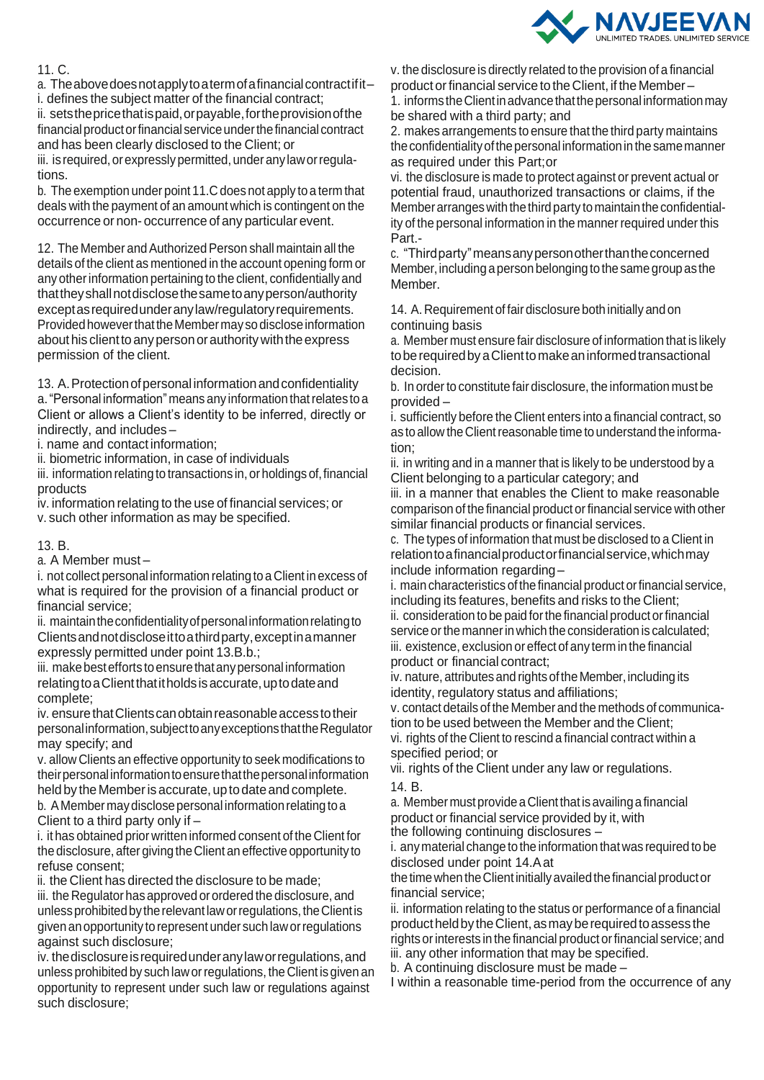

## 11. C.

a. Theabovedoesnotapplytoatermofafinancialcontractifit– i. defines the subject matter of the financial contract; ii. setsthepricethatispaid,orpayable,fortheprovisionofthe financial product or financial service under the financial contract and has been clearly disclosed to the Client; or iii. is required, or expressly permitted, under any law or regulations.

b. The exemption under point 11.C does not apply to a term that deals with the payment of an amount which is contingent on the occurrence or non- occurrence of any particular event.

12. The Member and Authorized Person shall maintain all the details of the client as mentioned in the account opening form or any otherinformation pertaining to the client, confidentially and thattheyshallnotdisclosethesametoanyperson/authority exceptasrequiredunderanylaw/regulatoryrequirements. Provided however that the Member may so disclose information about his client to any person or authority with the express permission of the client.

13. A. Protection of personal information and confidentiality

a. "Personal information" means any information that relates to a Client or allows a Client's identity to be inferred, directly or indirectly, and includes –

i. name and contact information;

ii. biometric information, in case of individuals

iii. information relating to transactions in, or holdings of, financial products

iv. information relating to the use of financial services; or v. such other information as may be specified.

#### 13. B.

a. A Member must –

i. not collect personal information relating to a Client in excess of what is required for the provision of a financial product or financial service;

ii. maintain the confidentiality of personal information relating to Clientsandnotdiscloseittoathirdparty,exceptinamanner expressly permitted under point 13.B.b.;

iii. make best efforts to ensure that any personal information relating to a Client that it holds is accurate, up to date and complete;

iv. ensure that Clients can obtain reasonable access to their personalinformation,subjecttoanyexceptionsthattheRegulator may specify; and

v. allow Clients an effective opportunity to seek modifications to theirpersonalinformationtoensurethatthepersonalinformation held by the Member is accurate, up to date and complete. b. A Member may disclose personal information relating to a

Client to a third party only if –

i. it has obtained prior written informed consent of the Client for the disclosure, after giving theClient an effective opportunity to refuse consent;

ii. the Client has directed the disclosure to be made;

iii. the Regulator has approved or ordered the disclosure, and unless prohibited by the relevant law or regulations, the Client is given anopportunity to represent under such laworregulations against such disclosure;

iv. thedisclosureisrequiredunderanylaworregulations,and unless prohibited by such law or regulations, the Client is given an opportunity to represent under such law or regulations against such disclosure;

v. the disclosure is directly related to the provision of a financial product or financial service to the Client, if the Member – 1. informs the Client in advance that the personal information may be shared with a third party; and

2. makes arrangements to ensure that the third party maintains the confidentiality of the personal information in the same manner as required under this Part;or

vi. the disclosure is made to protect against or prevent actual or potential fraud, unauthorized transactions or claims, if the Member arranges with the third party to maintain the confidentiality of the personal information in the manner required under this Part.-

c. "Thirdparty"meansanypersonotherthantheconcerned Member,including aperson belonging to the same group asthe Member.

14. A.Requirement of fair disclosure both initially and on continuing basis

a. Member must ensure fair disclosure of information that is likely toberequiredbyaClienttomakeaninformedtransactional decision.

b. In order to constitute fair disclosure, the information must be provided –

i. sufficiently before the Client enters into a financial contract, so as to allow the Client reasonable time to understand the information;

ii. in writing and in a manner that is likely to be understood by a Client belonging to a particular category; and

iii. in a manner that enables the Client to make reasonable comparison of the financial product or financial service with other similar financial products or financial services.

c. The types of information that must be disclosed to a Client in relationtoafinancialproductorfinancialservice,whichmay include information regarding –

i. main characteristics of the financial product orfinancial service, including its features, benefits and risks to the Client;

ii. consideration to be paid forthe financial product orfinancial service or the manner in which the consideration is calculated; iii. existence, exclusion or effect of any term in the financial product or financial contract;

iv. nature, attributes and rights of the Member, including its identity, regulatory status and affiliations;

v. contact details of the Memberand the methods of communication to be used between the Member and the Client; vi. rights of the Client to rescind a financial contract within a specified period; or

vii. rights of the Client under any law or regulations.

14. B.

a. Membermust provideaClientthatisavailinga financial product or financial service provided by it, with

the following continuing disclosures –

i. anymaterial change to the information thatwas required to be disclosed under point 14.Aat

the timewhen theClientinitiallyavailedthefinancial productor financial service;

ii. information relating to the status or performance of a financial productheldby theClient,asmayberequiredtoassess the rights or interests in the financial product or financial service; and iii. any other information that may be specified.

b. A continuing disclosure must be made –

I within a reasonable time-period from the occurrence of any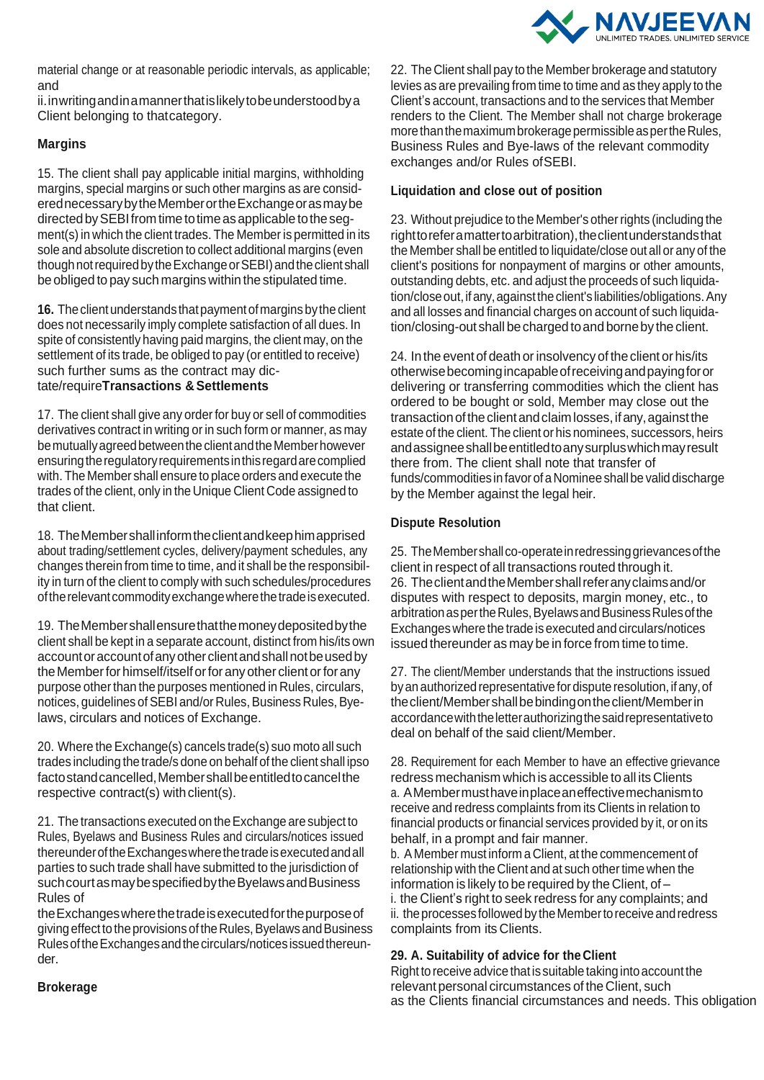

material change or at reasonable periodic intervals, as applicable; and

ii.inwritingandinamannerthatislikelytobeunderstoodbya Client belonging to thatcategory.

## **Margins**

15. The client shall pay applicable initial margins, withholding margins, special margins or such other margins as are considerednecessarybytheMemberortheExchangeorasmaybe directedbySEBIfromtime totimeasapplicable tothesegment(s) in which the client trades. The Member is permitted in its sole and absolute discretion to collect additional margins (even thoughnotrequiredbytheExchangeorSEBI)andtheclient shall be obliged to pay such margins within the stipulated time.

16. The client understands that payment of margins by the client does not necessarily imply complete satisfaction of all dues. In spite of consistently having paid margins, the client may, on the settlement of its trade, be obliged to pay (or entitled to receive) such further sums as the contract may dictate/require**Transactions & Settlements**

17. The client shall give any order for buy or sell of commodities derivatives contract in writing or in such form or manner, as may bemutuallyagreedbetweentheclientandtheMemberhowever ensuring the regulatory requirements in this regard are complied with. The Member shall ensure to place orders and execute the trades of the client, only in the Unique Client Code assigned to that client.

18. TheMembershallinformtheclientandkeephimapprised about trading/settlement cycles, delivery/payment schedules, any changes therein from time to time, and it shall be the responsibility in turn of the client to comply with such schedules/procedures oftherelevantcommodityexchangewherethetradeisexecuted.

19. TheMembershallensurethatthemoneydepositedbythe client shall be kept in a separate account, distinct from his/its own accountoraccountofanyotherclientandshallnotbeusedby the Member for himself/itself or for any other client or for any purpose other than the purposes mentioned in Rules, circulars, notices, guidelines of SEBI and/or Rules, Business Rules, Byelaws, circulars and notices of Exchange.

20. Where the Exchange(s) cancels trade(s) suo moto all such trades including the trade/s done on behalf of the client shall ipso factostandcancelled,Membershallbeentitledtocancelthe respective contract(s) with client(s).

21. The transactions executed on theExchange are subject to Rules, Byelaws and Business Rules and circulars/notices issued thereunderoftheExchangeswherethetradeisexecutedandall parties to such trade shall have submitted to the jurisdiction of such court as may be specified by the Byelaws and Business Rules of

theExchangeswherethetradeisexecutedforthepurposeof giving effect to the provisions of the Rules, Byelaws and Business RulesoftheExchangesandthecirculars/noticesissuedthereunder.

22. The Client shall pay to the Member brokerage and statutory levies as are prevailing from time to time and as they apply to the Client's account, transactions and to the services that Member renders to the Client. The Member shall not charge brokerage more than the maximum brokerage permissible as per the Rules, Business Rules and Bye-laws of the relevant commodity exchanges and/or Rules ofSEBI.

### **Liquidation and close out of position**

23. Without prejudice to the Member's other rights (including the righttoreferamattertoarbitration), the client understands that the Member shall be entitled to liquidate/close out all or any of the client's positions for nonpayment of margins or other amounts, outstanding debts, etc. and adjust the proceeds of such liquidation/close out, if any, against the client's liabilities/obligations. Any and all losses and financial charges on account of such liquidation/closing-out shall becharged toand borneby the client.

24. In the event of death or insolvency of the client or his/its otherwisebecomingincapableofreceivingandpayingforor delivering or transferring commodities which the client has ordered to be bought or sold, Member may close out the transaction of the client and claim losses, if any, against the estate of the client. The client or his nominees, successors, heirs andassigneeshallbeentitledtoanysurpluswhichmayresult there from. The client shall note that transfer of funds/commodities in favor of a Nominee shall be valid discharge by the Member against the legal heir.

#### **Dispute Resolution**

25. TheMembershallco-operateinredressinggrievancesofthe client in respect of all transactions routed through it. 26. TheclientandtheMembershallreferanyclaimsand/or disputes with respect to deposits, margin money, etc., to arbitration as per the Rules, Byelaws and Business Rules of the Exchanges where the trade is executed and circulars/notices issued thereunder as may be in force from time to time.

27. The client/Member understands that the instructions issued by an authorized representative for dispute resolution, if any, of theclient/Membershallbebindingontheclient/Memberin accordancewiththeletterauthorizingthesaidrepresentativeto deal on behalf of the said client/Member.

28. Requirement for each Member to have an effective grievance redress mechanism which is accessible to all its Clients a. AMembermusthaveinplaceaneffectivemechanismto receive and redress complaints from its Clients in relation to financial products or financial services provided by it, or on its behalf, in a prompt and fair manner.

b. A Member must inform a Client, at the commencement of relationship with the Client and at such other time when the information is likely to be required by the Client, of – i. the Client's right to seek redress for any complaints; and ii. the processes followed by the Member to receive and redress complaints from its Clients.

## **29. A. Suitability of advice for the Client**

Right to receive advice that is suitable taking into account the relevant personal circumstances of the Client, such as the Clients financial circumstances and needs. This obligation

**Brokerage**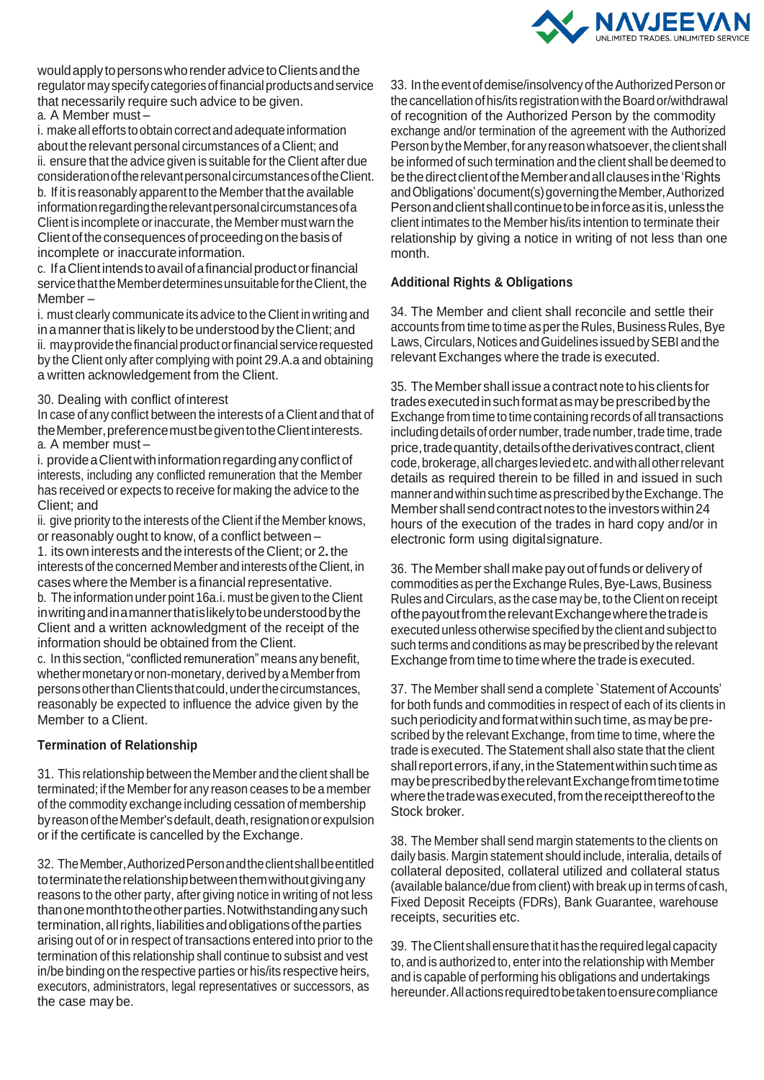

would apply to persons who render advice to Clients and the regulatormayspecifycategoriesoffinancialproductsandservice that necessarily require such advice to be given. a. A Member must –

i. make all efforts to obtain correct and adequate information about the relevant personal circumstances of a Client; and ii. ensure that the advice given is suitable forthe Client after due considerationoftherelevantpersonalcircumstancesoftheClient. b. If it is reasonably apparent to the Memberthat the available informationregardingtherelevantpersonalcircumstancesofa Client is incomplete orinaccurate, the Member must warn the Client of the consequences of proceeding on the basis of incomplete or inaccurate information.

c. IfaClientintendstoavailofafinancialproductorfinancial service that the Member determines unsuitable for the Client, the Member –

i. must clearly communicate its advice to the Client in writing and in a manner that is likely to be understood by the Client; and ii. may provide the financial product or financial service requested by the Client only after complying with point 29.A.a and obtaining a written acknowledgement from the Client.

#### 30. Dealing with conflict ofinterest

In case of any conflict between the interests of a Client and that of theMember,preferencemustbegiventotheClientinterests. a. A member must –

i. provide a Client with information regarding any conflict of interests, including any conflicted remuneration that the Member has received or expects to receive for making the advice to the Client; and

ii. give priority to the interests of the Client if the Member knows, or reasonably ought to know, of a conflict between –

1. its own interests andthe interests of theClient; or 2**.** the interests of the concerned Member and interests of the Client, in cases where the Member is a financial representative.

b. The information under point 16a.i. must be given to the Client inwritingandinamannerthatislikelytobeunderstoodbythe Client and a written acknowledgment of the receipt of the information should be obtained from the Client.

c. In this section,"conflicted remuneration" means any benefit, whethermonetaryornon-monetary,derivedbyaMemberfrom persons other than Clients that could, under the circumstances, reasonably be expected to influence the advice given by the Member to a Client.

#### **Termination of Relationship**

31. This relationship between the Member and the client shall be terminated; if the Memberfor any reason ceases to be a member of the commodity exchange including cessation of membership by reason of the Member's default, death, resignation or expulsion or if the certificate is cancelled by the Exchange.

32. TheMember,AuthorizedPersonandtheclientshallbeentitled toterminatetherelationshipbetweenthemwithoutgivingany reasons to the other party, after giving notice in writing of not less thanonemonthtotheotherparties.Notwithstandinganysuch termination, all rights, liabilities and obligations of the parties arising out of orin respect of transactions entered into prior to the termination of this relationship shall continue to subsist and vest in/be binding on the respective parties or his/its respective heirs, executors, administrators, legal representatives or successors, as the case may be.

33. In the event of demise/insolvency of the Authorized Person or the cancellation of his/its registration with the Board or/withdrawal of recognition of the Authorized Person by the commodity exchange and/or termination of the agreement with the Authorized Person by the Member, for any reason whatsoever, the client shall be informed of such termination and the client shall be deemed to bethedirectclientoftheMemberandallclausesinthe'Rights and Obligations' document(s) governing the Member, Authorized Personandclientshallcontinuetobeinforceasitis,unlessthe client intimates to the Member his/its intention to terminate their relationship by giving a notice in writing of not less than one month.

### **Additional Rights & Obligations**

34. The Member and client shall reconcile and settle their accounts from time to time as per the Rules, Business Rules, Bye Laws, Circulars, Notices and Guidelines issued by SEBI and the relevant Exchanges where the trade is executed.

35. The Member shall issue a contract note to his clients for trades executed in such format as may be prescribed by the Exchange from time to time containing recordsof all transactions including details of order number, trade number, trade time, trade price, trade quantity, details of the derivatives contract, client code,brokerage,allchargesleviedetc.andwithallotherrelevant details as required therein to be filled in and issued in such mannerandwithinsuchtimeasprescribedbytheExchange.The Member shall send contract notes to the investors within 24 hours of the execution of the trades in hard copy and/or in electronic form using digitalsignature.

36. The Member shall make pay out of funds or delivery of commodities as per the Exchange Rules, Bye-Laws, Business Rulesand Circulars, as the case may be, to the Client on receipt ofthepayoutfromtherelevantExchangewherethetradeis executed unlessotherwise specified by the client and subject to such terms and conditions asmay be prescribed by the relevant Exchange from time to time where the trade is executed.

37. The Member shall send a complete `Statement of Accounts' for both funds and commodities in respect of each of its clients in such periodicity and format within such time, as may be prescribed by the relevant Exchange, from time to time, where the trade is executed. The Statement shall also state that the client shall report errors, if any, in the Statement within such time as maybeprescribedbytherelevantExchangefromtimetotime where the trade was executed, from the receipt thereof to the Stock broker.

38. The Member shall send margin statements to the clients on daily basis. Margin statement should include, interalia, details of collateral deposited, collateral utilized and collateral status (available balance/due from client) with break up in terms of cash, Fixed Deposit Receipts (FDRs), Bank Guarantee, warehouse receipts, securities etc.

39. The Client shall ensure that it has the required legal capacity to, and is authorized to, enterinto the relationship with Member and is capable of performing his obligations and undertakings hereunder. All actions required to be taken to ensure compliance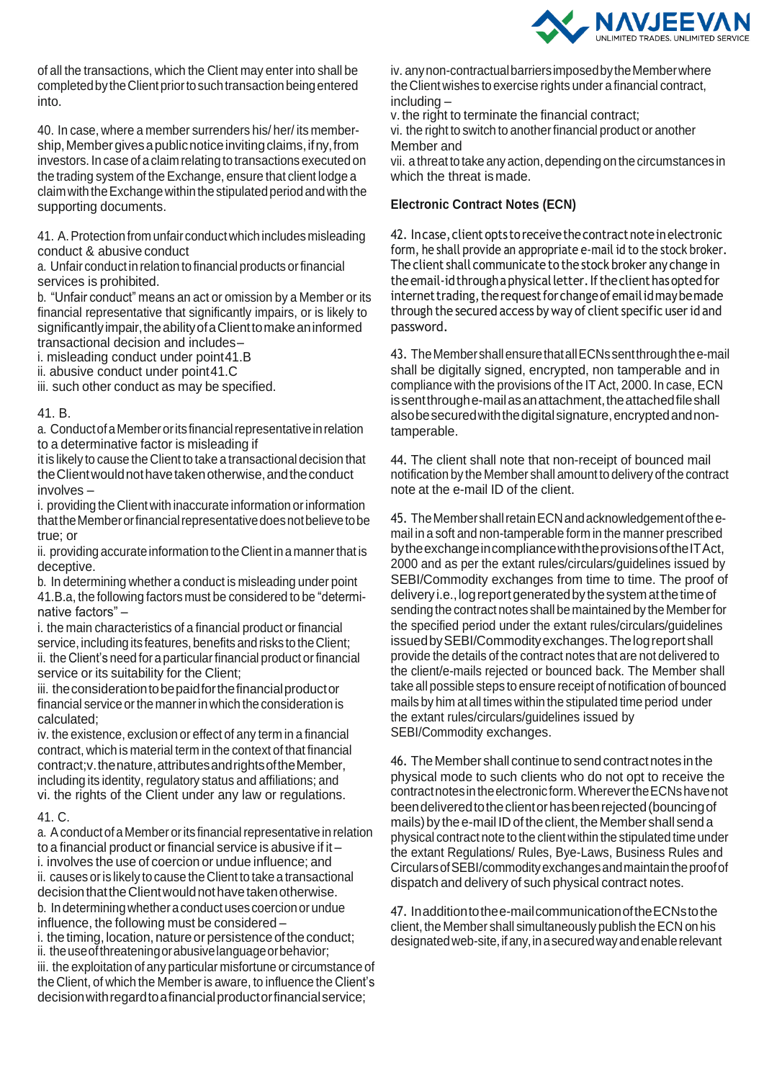

of all the transactions, which the Client may enter into shall be completed by the Client prior to such transaction being entered into.

40. In case, where a member surrenders his/ her/ its membership, Member gives a public notice inviting claims, if ny, from investors. In case of a claim relating to transactions executed on the trading system of the Exchange, ensure that client lodge a claim with the Exchange within the stipulated period and with the supporting documents.

41. A.Protection from unfair conductwhichincludesmisleading conduct & abusive conduct

a. Unfair conduct in relation to financial products orfinancial services is prohibited.

b. "Unfair conduct" means an act or omission by a Member or its financial representative that significantly impairs, or is likely to significantly impair, the ability of a Client to make an informed transactional decision and includes–

i. misleading conduct under point41.B

ii. abusive conduct under point41.C

iii. such other conduct as may be specified.

#### 41. B.

a. Conduct of a Member or its financial representative in relation to a determinative factor is misleading if

it is likely to cause the Client to take a transactional decision that theClientwouldnothavetakenotherwise,andtheconduct involves –

i. providing the Client with inaccurate information or information that the Member or financial representative does not believe to be true; or

ii. providing accurate information to the Client in a manner that is deceptive.

b. In determining whether a conduct is misleading under point 41.B.a, the following factors must be considered to be "determinative factors" –

i. the main characteristics of a financial product or financial service, including its features, benefits and risks to the Client; ii. the Client's need for a particular financial product or financial service or its suitability for the Client;

iii. theconsiderationtobepaidforthefinancialproductor financial service or the manner in which the consideration is calculated;

iv. the existence, exclusion or effect of any term in a financial contract, which is material term in the context of that financial contract; v. the nature, attributes and rights of the Member, including its identity, regulatory status and affiliations; and vi. the rights of the Client under any law or regulations.

#### 41. C.

a. A conduct of a Member or its financial representative in relation to a financial product or financial service is abusive if it – i. involves the use of coercion or undue influence; and ii. causes oris likely to cause theClient to take a transactional decision that the Client would not have taken otherwise. b. Indeterminingwhetheraconduct usescoercionorundue influence, the following must be considered –

i. the timing, location, nature or persistence of the conduct;

ii. theuseofthreateningorabusivelanguageorbehavior; iii. the exploitation of any particular misfortune or circumstance of the Client, of which the Memberis aware, to influence the Client's decisionwithregardtoafinancialproductorfinancialservice;

iv. anynon-contractualbarriersimposedbytheMemberwhere the Client wishes to exercise rights under a financial contract, including –

v. the right to terminate the financial contract;

vi. the right to switch to another financial product or another Member and

vii. a threat to take anyaction,depending on the circumstances in which the threat ismade.

### **Electronic Contract Notes (ECN)**

42. In case, client opts to receive the contract note in electronic form, he shall provide an appropriate e-mail id to the stock broker. The client shall communicate to the stock broker any change in theemail-idthroughaphysicalletter.Iftheclient hasoptedfor internet trading, the request for change of email id may be made through the secured access by way of client specific userid and password.

43. TheMembershallensurethatallECNssentthroughthee-mail shall be digitally signed, encrypted, non tamperable and in compliance with the provisions of the IT Act, 2000. In case, ECN is sent through e-mail as an attachment, the attached file shall alsobesecuredwiththedigitalsignature,encryptedandnontamperable.

44. The client shall note that non-receipt of bounced mail notification by the Member shall amount to delivery of the contract note at the e-mail ID of the client.

45. The Member shall retain ECN and acknowledgement of the email in a soft and non-tamperable form in the manner prescribed bytheexchangeincompliancewiththeprovisionsoftheITAct, 2000 and as per the extant rules/circulars/guidelines issued by SEBI/Commodity exchanges from time to time. The proof of delivery i.e., log report generated by the system at the time of sending the contract notes shall be maintained by the Memberfor the specified period under the extant rules/circulars/guidelines issuedbySEBI/Commodityexchanges.Thelogreportshall provide the details of the contract notes that are not delivered to the client/e-mails rejected or bounced back. The Member shall take all possible steps to ensure receipt of notification of bounced mails by him at all times within the stipulated time period under the extant rules/circulars/guidelines issued by SEBI/Commodity exchanges.

46. The Member shall continue to send contract notes in the physical mode to such clients who do not opt to receive the contractnotesintheelectronic form.WherevertheECNshavenot beendeliveredtotheclientorhasbeenrejected(bouncingof mails) by the e-mail ID of the client, the Member shall send a physical contract note to the client within the stipulated time under the extant Regulations/ Rules, Bye-Laws, Business Rules and CircularsofSEBI/commodityexchangesandmaintaintheproofof dispatch and delivery of such physical contract notes.

47. Inadditiontothee-mailcommunicationoftheECNstothe client, the Member shall simultaneously publish theECN on his designated web-site, if any, in a secured way and enable relevant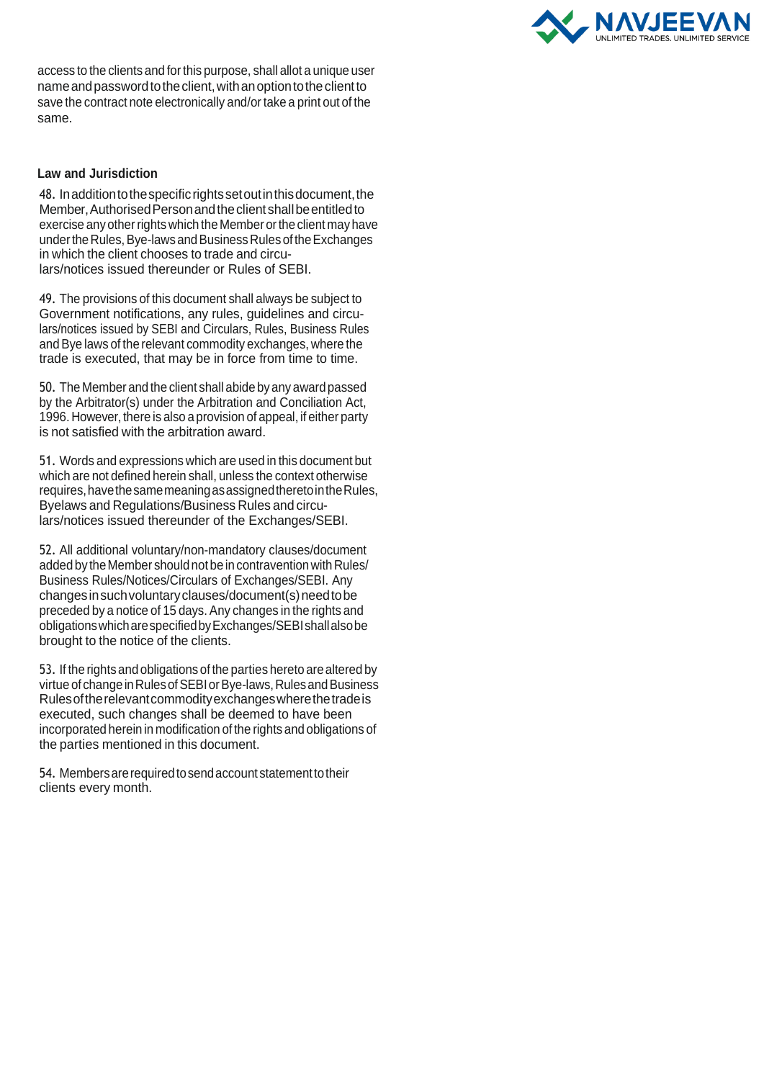

access to the clients and forthis purpose, shall allot a unique user nameandpasswordtotheclient,withanoptiontotheclientto save the contract note electronically and/or take a print out of the same.

#### **Law and Jurisdiction**

48. Inadditiontothespecificrightssetoutinthisdocument,the Member,AuthorisedPersonandtheclientshallbeentitledto exercise any other rights which the Member or the client may have under the Rules, Bye-laws and Business Rules of the Exchanges in which the client chooses to trade and circulars/notices issued thereunder or Rules of SEBI.

49. The provisions of this document shall always be subject to Government notifications, any rules, guidelines and circulars/notices issued by SEBI and Circulars, Rules, Business Rules andBye laws of the relevant commodity exchanges, where the trade is executed, that may be in force from time to time.

50. The Member and the client shall abide byany awardpassed by the Arbitrator(s) under the Arbitration and Conciliation Act, 1996. However, there is also a provision of appeal, if either party is not satisfied with the arbitration award.

51. Words and expressions which are used in this document but which are not defined herein shall, unless the context otherwise requires,havethesamemeaningasassignedtheretointheRules, Byelaws and Regulations/Business Rules and circulars/notices issued thereunder of the Exchanges/SEBI.

52. All additional voluntary/non-mandatory clauses/document added by the Member should not be in contravention with Rules/ Business Rules/Notices/Circulars of Exchanges/SEBI. Any changes in such voluntary clauses/document(s) need to be preceded by a notice of 15 days. Any changes in the rights and obligationswhicharespecifiedbyExchanges/SEBIshallalsobe brought to the notice of the clients.

53. If the rights and obligations of the parties hereto arealtered by virtue of change in Rules of SEBI or Bye-laws, Rules and Business Rulesoftherelevantcommodityexchangeswherethetradeis executed, such changes shall be deemed to have been incorporated herein in modification of the rights and obligations of the parties mentioned in this document.

54. Members are required to send account statement to their clients every month.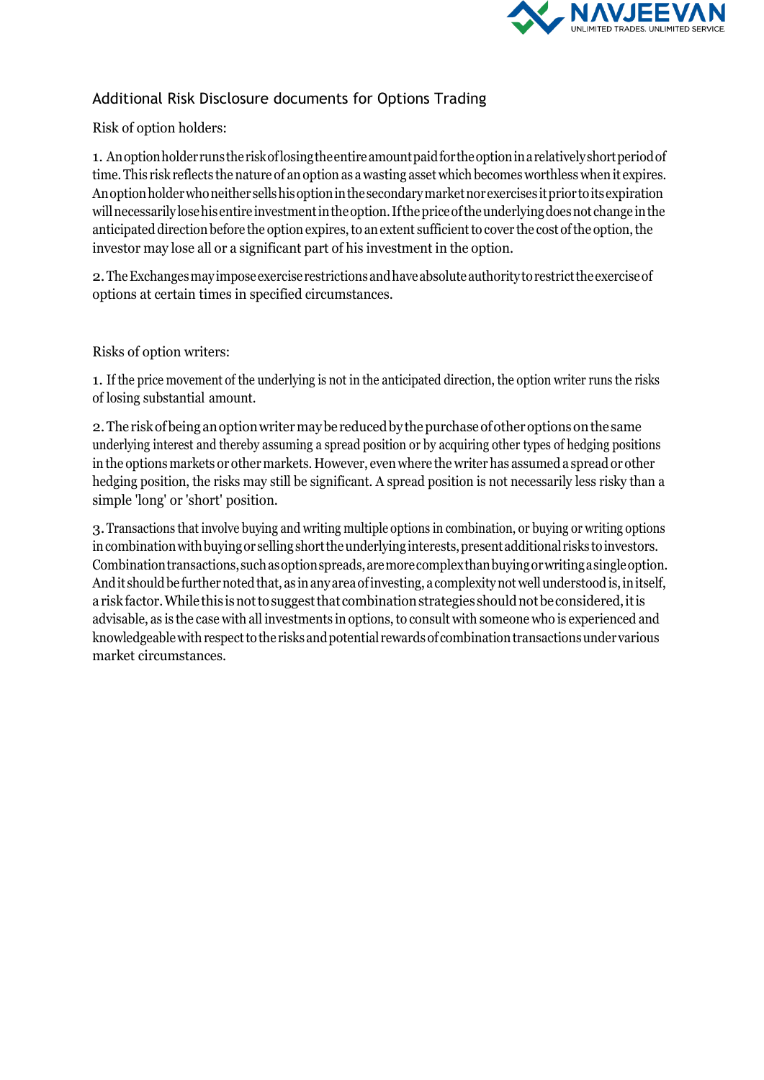

## Additional Risk Disclosure documents for Options Trading

Risk of option holders:

1. Anoptionholderrunstheriskoflosingtheentireamountpaidfortheoptioninarelativelyshortperiodof time.This risk reflects the nature of anoption as a wasting asset which becomes worthless whenit expires. Anoptionholderwhoneither sellshisoptioninthesecondarymarketnorexercises itprior toitsexpiration willnecessarily losehisentire investmentintheoption.Ifthepriceoftheunderlyingdoesnot change inthe anticipated direction before the option expires, to an extent sufficient to cover the cost of the option, the investor may lose all or a significant part of his investment in the option.

2.TheExchangesmayimposeexercise restrictionsandhaveabsoluteauthoritytorestricttheexerciseof options at certain times in specified circumstances.

Risks of option writers:

1. If the price movement of the underlying is not in the anticipated direction, the option writer runs the risks of losing substantial amount.

2.The riskofbeing anoptionwritermaybe reducedby thepurchaseofotheroptions onthe same underlying interest and thereby assuming a spread position or by acquiring other types of hedging positions in the options markets or other markets. However, even where the writer has assumed a spread or other hedging position, the risks may still be significant. A spread position is not necessarily less risky than a simple 'long' or 'short' position.

3.Transactions that involve buying and writing multiple options in combination, or buying or writing options in combination with buying or selling short the underlying interests, present additional risks to investors. Combinationtransactions,suchasoptionspreads,aremorecomplexthanbuyingorwritingasingleoption. And it should be further noted that, as in any area of investing, a complexity not well understood is, in itself, a risk factor. While this is not to suggest that combination strategies should not be considered, it is advisable, as is the case with all investments in options, to consult with someone who is experienced and knowledgeable with respect to the risks and potential rewards of combination transactions under various market circumstances.